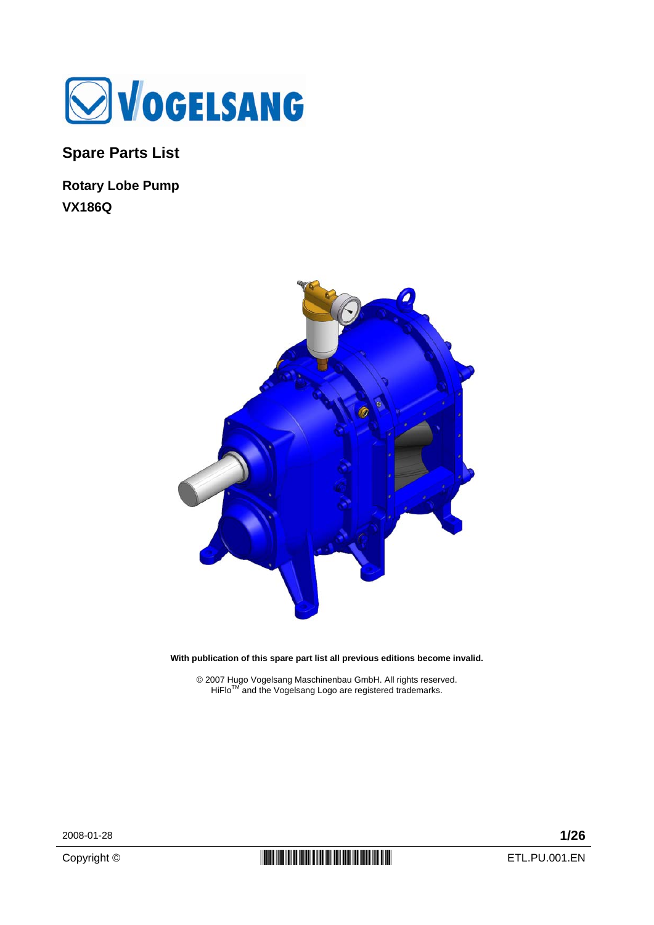

**Spare Parts List** 

**Rotary Lobe Pump VX186Q** 



**With publication of this spare part list all previous editions become invalid.** 

© 2007 Hugo Vogelsang Maschinenbau GmbH. All rights reserved.<br>HiFlo™ and the Vogelsang Logo are registered trademarks.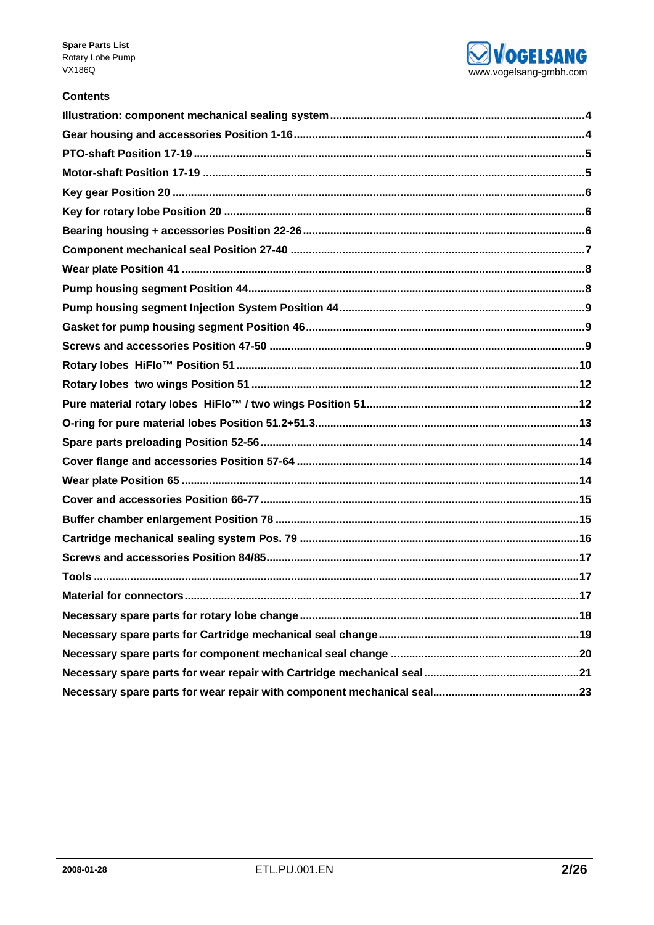

## **Contents**

| <b>Material for connectors</b><br>17 |  |
|--------------------------------------|--|
|                                      |  |
|                                      |  |
|                                      |  |
|                                      |  |
|                                      |  |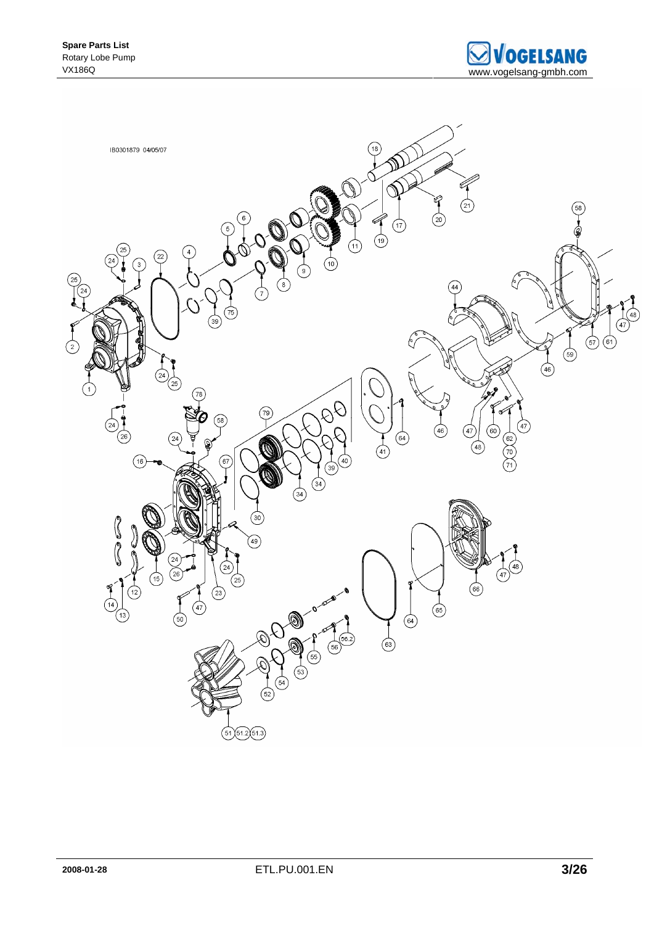

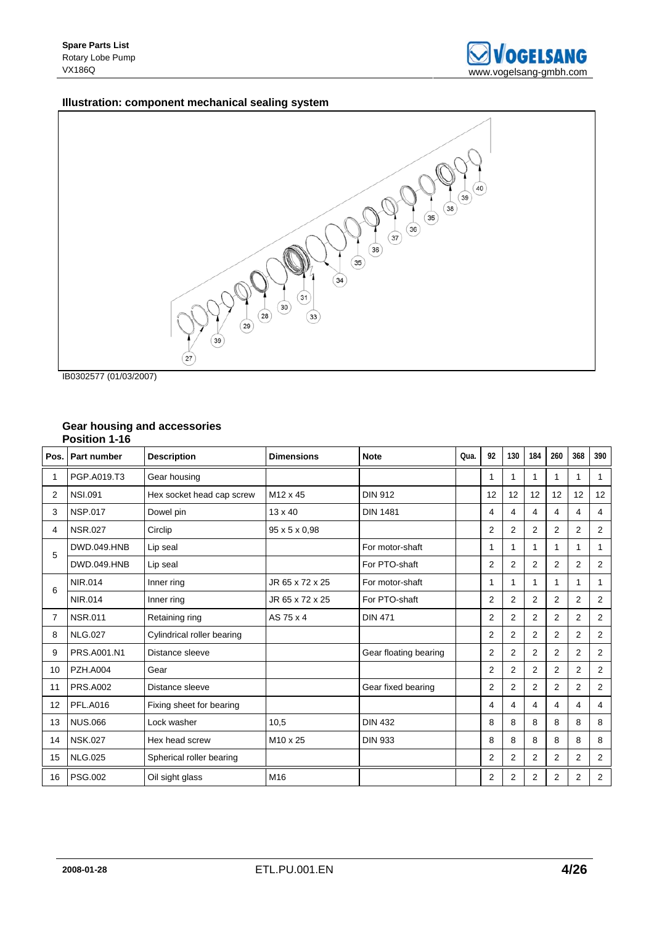## **Illustration: component mechanical sealing system**



IB0302577 (01/03/2007)

### **Gear housing and accessories Position 1-16**

| Pos. | <b>Part number</b> | <b>Description</b>         | <b>Dimensions</b>    | <b>Note</b>           | Qua. | 92             | 130            | 184            | 260            | 368            | 390            |
|------|--------------------|----------------------------|----------------------|-----------------------|------|----------------|----------------|----------------|----------------|----------------|----------------|
| 1    | PGP.A019.T3        | Gear housing               |                      |                       |      | 1              |                | 1              | 1              | 1              | 1              |
| 2    | <b>NSI.091</b>     | Hex socket head cap screw  | M <sub>12</sub> x 45 | <b>DIN 912</b>        |      | 12             | 12             | 12             | 12             | 12             | 12             |
| 3    | <b>NSP.017</b>     | Dowel pin                  | $13 \times 40$       | <b>DIN 1481</b>       |      | 4              | 4              | 4              | 4              | 4              | 4              |
| 4    | <b>NSR.027</b>     | Circlip                    | 95 x 5 x 0.98        |                       |      | 2              | 2              | 2              | 2              | 2              | 2              |
| 5    | <b>DWD.049.HNB</b> | Lip seal                   |                      | For motor-shaft       |      | 1              | 1              | 1              | 1              | 1              | 1              |
|      | <b>DWD.049.HNB</b> | Lip seal                   |                      | For PTO-shaft         |      | 2              | $\overline{2}$ | $\overline{2}$ | $\overline{2}$ | $\overline{2}$ | 2              |
| 6    | NIR.014            | Inner ring                 | JR 65 x 72 x 25      | For motor-shaft       |      | 1              | 1              | 1              | 1              | 1              | 1              |
|      | <b>NIR.014</b>     | Inner ring                 | JR 65 x 72 x 25      | For PTO-shaft         |      | 2              | $\overline{2}$ | $\overline{2}$ | $\overline{2}$ | $\overline{2}$ | 2              |
| 7    | <b>NSR.011</b>     | Retaining ring             | AS 75 x 4            | <b>DIN 471</b>        |      | 2              | $\overline{2}$ | 2              | 2              | 2              | 2              |
| 8    | <b>NLG.027</b>     | Cylindrical roller bearing |                      |                       |      | $\overline{2}$ | 2              | 2              | $\overline{2}$ | $\overline{2}$ | 2              |
| 9    | PRS.A001.N1        | Distance sleeve            |                      | Gear floating bearing |      | 2              | 2              | 2              | $\overline{2}$ | 2              | 2              |
| 10   | <b>PZH.A004</b>    | Gear                       |                      |                       |      | 2              | 2              | $\overline{2}$ | 2              | 2              | 2              |
| 11   | <b>PRS.A002</b>    | Distance sleeve            |                      | Gear fixed bearing    |      | $\overline{2}$ | 2              | $\overline{2}$ | $\overline{2}$ | $\overline{2}$ | 2              |
| 12   | <b>PFL.A016</b>    | Fixing sheet for bearing   |                      |                       |      | 4              | 4              | 4              | $\overline{4}$ | 4              | 4              |
| 13   | <b>NUS.066</b>     | Lock washer                | 10,5                 | <b>DIN 432</b>        |      | 8              | 8              | 8              | 8              | 8              | 8              |
| 14   | <b>NSK.027</b>     | Hex head screw             | M <sub>10</sub> x 25 | <b>DIN 933</b>        |      | 8              | 8              | 8              | 8              | 8              | 8              |
| 15   | <b>NLG.025</b>     | Spherical roller bearing   |                      |                       |      | $\overline{2}$ | 2              | 2              | $\overline{2}$ | $\overline{2}$ | 2              |
| 16   | <b>PSG.002</b>     | Oil sight glass            | M <sub>16</sub>      |                       |      | $\overline{2}$ | $\overline{2}$ | $\overline{2}$ | $\overline{2}$ | $\overline{2}$ | $\overline{2}$ |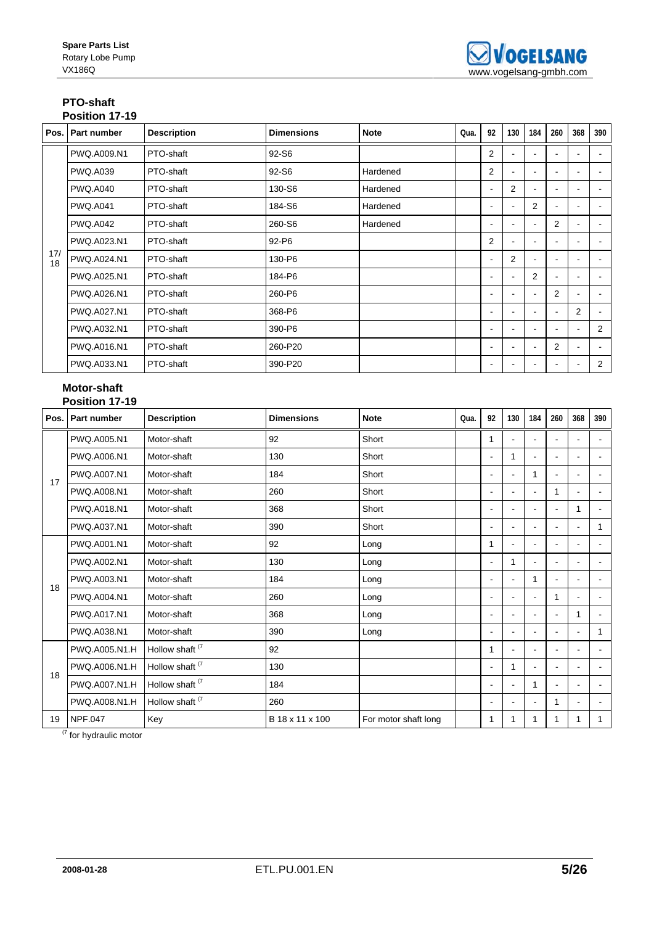#### **PTO-shaft Position 17-19**

|           | Pos.   Part number | <b>Description</b> | <b>Dimensions</b> | <b>Note</b> | Qua. | 92             | 130            | 184            | 260 | 368                      | 390            |
|-----------|--------------------|--------------------|-------------------|-------------|------|----------------|----------------|----------------|-----|--------------------------|----------------|
|           | PWQ.A009.N1        | PTO-shaft          | 92-S6             |             |      | $\overline{2}$ |                |                |     |                          |                |
|           | <b>PWQ.A039</b>    | PTO-shaft          | 92-S6             | Hardened    |      | $\overline{2}$ | ٠              |                |     | ٠                        |                |
|           | <b>PWQ.A040</b>    | PTO-shaft          | 130-S6            | Hardened    |      | $\blacksquare$ | $\overline{2}$ | $\blacksquare$ |     | $\blacksquare$           | $\blacksquare$ |
|           | <b>PWQ.A041</b>    | PTO-shaft          | 184-S6            | Hardened    |      | ۰              | $\sim$         | 2              |     |                          |                |
| 17/<br>18 | <b>PWQ.A042</b>    | PTO-shaft          | 260-S6            | Hardened    |      | ۰              | $\sim$         |                | 2   |                          |                |
|           | PWQ.A023.N1        | PTO-shaft          | 92-P6             |             |      | $\overline{2}$ | $\sim$         |                |     |                          |                |
|           | PWQ.A024.N1        | PTO-shaft          | 130-P6            |             |      |                | $\overline{2}$ |                |     |                          |                |
|           | PWQ.A025.N1        | PTO-shaft          | 184-P6            |             |      |                |                | 2              |     |                          |                |
|           | PWQ.A026.N1        | PTO-shaft          | 260-P6            |             |      |                |                |                | 2   |                          |                |
|           | PWQ.A027.N1        | PTO-shaft          | 368-P6            |             |      |                |                |                |     | $\overline{2}$           | $\blacksquare$ |
|           | PWQ.A032.N1        | PTO-shaft          | 390-P6            |             |      |                |                | $\blacksquare$ |     | $\blacksquare$           | 2              |
|           | PWQ.A016.N1        | PTO-shaft          | 260-P20           |             |      |                |                |                | 2   | $\overline{\phantom{a}}$ | $\blacksquare$ |
|           | PWQ.A033.N1        | PTO-shaft          | 390-P20           |             |      |                |                |                |     |                          | 2              |

## **Motor-shaft Position 17-19**

| Pos. | <b>Part number</b> | <b>Description</b>         | <b>Dimensions</b> | <b>Note</b>          | Qua. | 92             | 130                      | 184 | 260 | 368                      | 390            |
|------|--------------------|----------------------------|-------------------|----------------------|------|----------------|--------------------------|-----|-----|--------------------------|----------------|
|      | PWQ.A005.N1        | Motor-shaft                | 92                | Short                |      |                |                          |     |     |                          |                |
|      | PWQ.A006.N1        | Motor-shaft                | 130               | Short                |      | $\blacksquare$ | 1                        |     |     |                          |                |
| 17   | PWQ.A007.N1        | Motor-shaft                | 184               | Short                |      | $\blacksquare$ |                          | 1   |     |                          |                |
|      | PWQ.A008.N1        | Motor-shaft                | 260               | Short                |      | $\blacksquare$ |                          |     | 1   | $\blacksquare$           |                |
|      | PWQ.A018.N1        | Motor-shaft                | 368               | Short                |      | ٠              |                          |     |     | 1                        |                |
|      | PWQ.A037.N1        | Motor-shaft                | 390               | Short                |      | $\blacksquare$ | $\overline{\phantom{a}}$ |     |     | $\blacksquare$           | 1              |
|      | PWQ.A001.N1        | Motor-shaft                | 92                | Long                 |      | 1              | $\overline{\phantom{a}}$ |     |     | $\blacksquare$           |                |
|      | PWQ.A002.N1        | Motor-shaft                | 130               | Long                 |      | $\blacksquare$ | 1                        |     |     | $\overline{a}$           |                |
| 18   | PWQ.A003.N1        | Motor-shaft                | 184               | Long                 |      | $\blacksquare$ | $\blacksquare$           | 1   |     |                          |                |
|      | PWQ.A004.N1        | Motor-shaft                | 260               | Long                 |      | ۰              | $\overline{\phantom{a}}$ |     | 1   | $\blacksquare$           |                |
|      | PWQ.A017.N1        | Motor-shaft                | 368               | Long                 |      | ۰              | $\overline{\phantom{a}}$ |     |     | 1                        | $\overline{a}$ |
|      | PWQ.A038.N1        | Motor-shaft                | 390               | Long                 |      | ٠              | $\blacksquare$           |     |     | $\blacksquare$           | 1              |
|      | PWQ.A005.N1.H      | Hollow shaft <sup>(7</sup> | 92                |                      |      |                | $\sim$                   |     |     | $\blacksquare$           |                |
| 18   | PWQ.A006.N1.H      | Hollow shaft <sup>(7</sup> | 130               |                      |      | ۰              | 1                        |     |     | $\blacksquare$           |                |
|      | PWQ.A007.N1.H      | Hollow shaft <sup>(7</sup> | 184               |                      |      |                | $\blacksquare$           | 1   |     | ÷                        |                |
|      | PWQ.A008.N1.H      | Hollow shaft <sup>(7</sup> | 260               |                      |      |                |                          |     | 1   | $\overline{\phantom{a}}$ |                |
| 19   | <b>NPF.047</b>     | Key                        | B 18 x 11 x 100   | For motor shaft long |      |                | 1                        | 1   | 1   | 1                        |                |

<sup>(7</sup> for hydraulic motor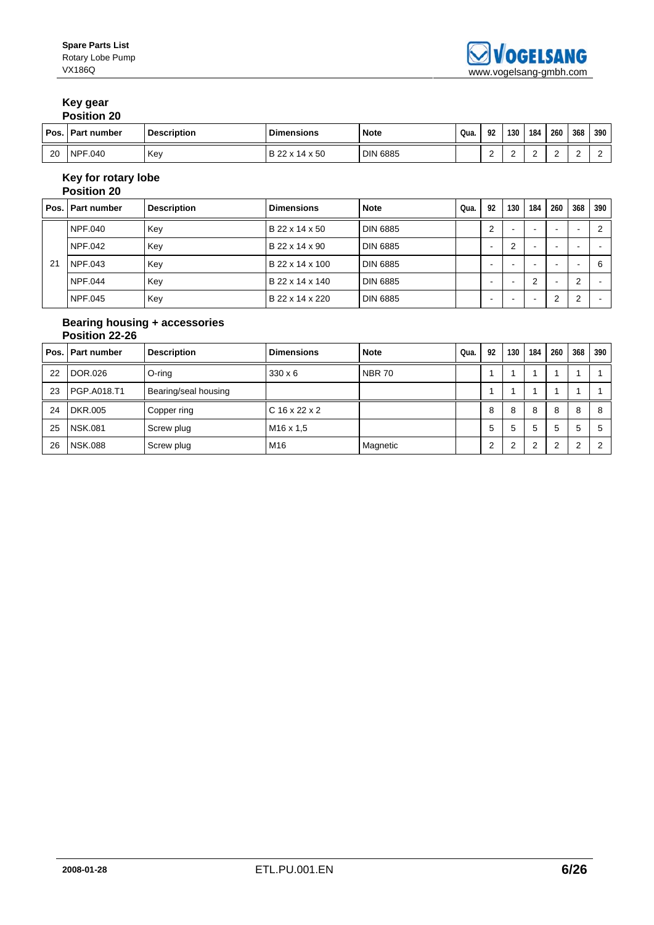# **Key gear**

| <b>Position 20</b> |  |
|--------------------|--|
|                    |  |

| Pos. | I Part number     | <b>Description</b> | <b>Dimensions</b> | <b>Note</b>     | Qua. | ດາ | 130 | 184 | 260 | 368 | 390 |
|------|-------------------|--------------------|-------------------|-----------------|------|----|-----|-----|-----|-----|-----|
| 20   | <b>NPF</b><br>040 | Key                | B 22 x 14 x 50    | <b>DIN 6885</b> |      |    | -   | -   |     | -   |     |

### **Key for rotary lobe Position 20**

| Pos. | l Part number | <b>Description</b> | <b>Dimensions</b> | <b>Note</b>     | Qua. | 92     | 130 | 184 | 260                      | 368                      | 390 |
|------|---------------|--------------------|-------------------|-----------------|------|--------|-----|-----|--------------------------|--------------------------|-----|
|      | NPF.040       | Key                | B 22 x 14 x 50    | <b>DIN 6885</b> |      | ◠      |     | -   | $\overline{\phantom{0}}$ | $\overline{\phantom{0}}$ |     |
|      | NPF.042       | Key                | B 22 x 14 x 90    | <b>DIN 6885</b> |      | $\sim$ | ົ   | -   | -                        |                          |     |
| 21   | NPF.043       | Key                | B 22 x 14 x 100   | <b>DIN 6885</b> |      |        |     |     | -                        |                          | 6   |
|      | NPF.044       | Key                | B 22 x 14 x 140   | <b>DIN 6885</b> |      |        |     | - 2 | -                        | $\overline{2}$           |     |
|      | NPF.045       | Key                | B 22 x 14 x 220   | <b>DIN 6885</b> |      | -      |     |     | າ<br>∠                   | $\overline{2}$           |     |

## **Bearing housing + accessories Position 22-26**

|    | Pos. Part number | <b>Description</b>   | <b>Dimensions</b>     | <b>Note</b>   | Qua. | 92 | 130          | 184    | 260 | 368            | 390 |
|----|------------------|----------------------|-----------------------|---------------|------|----|--------------|--------|-----|----------------|-----|
| 22 | DOR.026          | O-ring               | $330 \times 6$        | <b>NBR 70</b> |      |    |              |        |     |                |     |
| 23 | PGP.A018.T1      | Bearing/seal housing |                       |               |      |    |              |        |     |                |     |
| 24 | DKR.005          | Copper ring          | $C$ 16 x 22 x 2       |               |      | 8  | 8            | 8      | 8   | 8              | 8   |
| 25 | <b>NSK.081</b>   | Screw plug           | M <sub>16</sub> x 1.5 |               |      | 5  | $\mathbf{b}$ | 5      | 5   | 5              |     |
| 26 | <b>NSK.088</b>   | Screw plug           | M16                   | Magnetic      |      | ◠  | c            | $\sim$ | ົ   | $\overline{2}$ |     |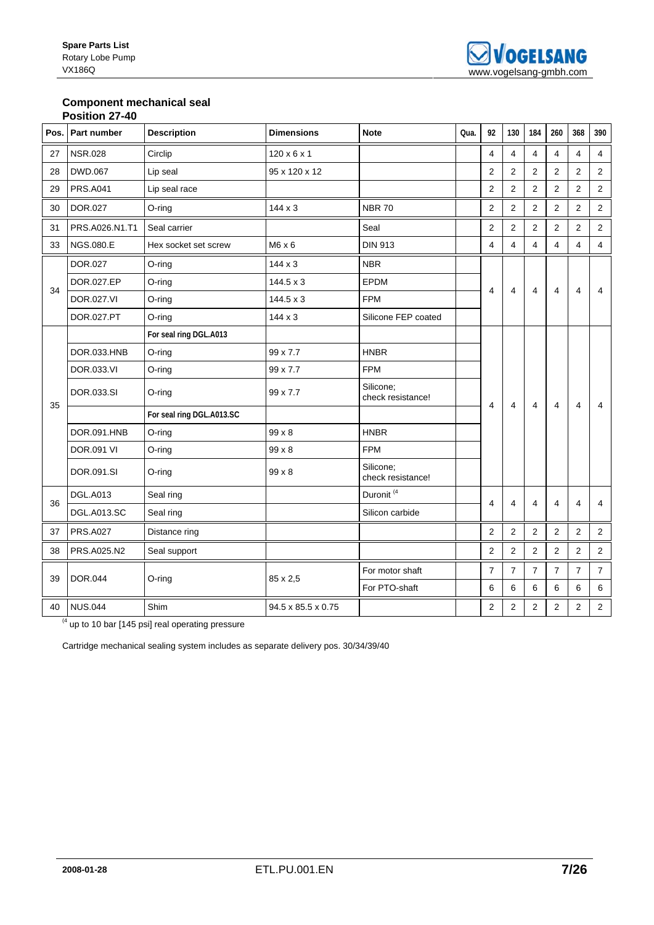### **Component mechanical seal Position 27-40**

|    | Pos. Part number  | <b>Description</b>        | <b>Dimensions</b>       | <b>Note</b>                    | Qua. | 92             | 130            | 184            | 260            | 368            | 390                     |
|----|-------------------|---------------------------|-------------------------|--------------------------------|------|----------------|----------------|----------------|----------------|----------------|-------------------------|
| 27 | <b>NSR.028</b>    | Circlip                   | $120 \times 6 \times 1$ |                                |      | 4              | 4              | 4              | 4              | $\overline{4}$ | $\overline{\mathbf{4}}$ |
| 28 | <b>DWD.067</b>    | Lip seal                  | 95 x 120 x 12           |                                |      | 2              | 2              | $\overline{2}$ | 2              | 2              | $\overline{2}$          |
| 29 | <b>PRS.A041</b>   | Lip seal race             |                         |                                |      | 2              | 2              | $\overline{2}$ | $\overline{2}$ | 2              | $\overline{2}$          |
| 30 | <b>DOR.027</b>    | O-ring                    | $144 \times 3$          | <b>NBR70</b>                   |      | $\overline{2}$ | $\overline{2}$ | 2              | $\overline{2}$ | 2              | 2                       |
| 31 | PRS.A026.N1.T1    | Seal carrier              |                         | Seal                           |      | $\overline{2}$ | $\overline{2}$ | $\overline{2}$ | $\overline{2}$ | 2              | $\overline{2}$          |
| 33 | NGS.080.E         | Hex socket set screw      | $M6 \times 6$           | <b>DIN 913</b>                 |      | $\overline{4}$ | 4              | 4              | 4              | $\overline{4}$ | $\overline{4}$          |
|    | DOR.027           | O-ring                    | $144 \times 3$          | <b>NBR</b>                     |      |                |                |                |                |                |                         |
| 34 | DOR.027.EP        | $O$ -ring                 | $144.5 \times 3$        | <b>EPDM</b>                    |      | 4              | 4              | $\overline{4}$ | $\overline{4}$ | 4              | 4                       |
|    | DOR.027.VI        | $O$ -ring                 | $144.5 \times 3$        | <b>FPM</b>                     |      |                |                |                |                |                |                         |
|    | DOR.027.PT        | O-ring                    | $144 \times 3$          | Silicone FEP coated            |      |                |                |                |                |                |                         |
|    |                   | For seal ring DGL.A013    |                         |                                |      |                |                |                |                |                |                         |
|    | DOR.033.HNB       | O-ring                    | 99 x 7.7                | <b>HNBR</b>                    |      |                |                |                |                |                |                         |
|    | DOR.033.VI        | O-ring                    | 99 x 7.7                | <b>FPM</b>                     |      |                |                |                |                |                |                         |
| 35 | DOR.033.SI        | $O$ -ring                 | 99 x 7.7                | Silicone:<br>check resistance! |      | 4              | 4              | 4              | 4              | 4              | 4                       |
|    |                   | For seal ring DGL.A013.SC |                         |                                |      |                |                |                |                |                |                         |
|    | DOR.091.HNB       | O-ring                    | $99 \times 8$           | <b>HNBR</b>                    |      |                |                |                |                |                |                         |
|    | <b>DOR.091 VI</b> | O-ring                    | 99 x 8                  | <b>FPM</b>                     |      |                |                |                |                |                |                         |
|    | DOR.091.SI        | $O$ -ring                 | $99 \times 8$           | Silicone:<br>check resistance! |      |                |                |                |                |                |                         |
| 36 | <b>DGL.A013</b>   | Seal ring                 |                         | Duronit <sup>(4</sup>          |      | 4              | 4              | 4              | 4              | 4              | $\overline{4}$          |
|    | DGL.A013.SC       | Seal ring                 |                         | Silicon carbide                |      |                |                |                |                |                |                         |
| 37 | <b>PRS.A027</b>   | Distance ring             |                         |                                |      | $\overline{2}$ | $\overline{2}$ | $\overline{2}$ | 2              | 2              | $\overline{2}$          |
| 38 | PRS.A025.N2       | Seal support              |                         |                                |      | $\overline{2}$ | $\overline{2}$ | $\overline{2}$ | 2              | 2              | $\overline{2}$          |
|    |                   |                           |                         | For motor shaft                |      | $\overline{7}$ | $\overline{7}$ | $\overline{7}$ | $\overline{7}$ | $\overline{7}$ | $\overline{7}$          |
| 39 | <b>DOR.044</b>    | $O$ -ring                 | 85 x 2,5                | For PTO-shaft                  |      | 6              | 6              | 6              | 6              | 6              | 6                       |
| 40 | <b>NUS.044</b>    | Shim                      | 94.5 x 85.5 x 0.75      |                                |      | $\overline{2}$ | $\overline{2}$ | $\overline{2}$ | $\overline{2}$ | $\overline{2}$ | $\overline{2}$          |

 $(4 \text{ up to 10 bar } [145 \text{ psi}]$  real operating pressure

Cartridge mechanical sealing system includes as separate delivery pos. 30/34/39/40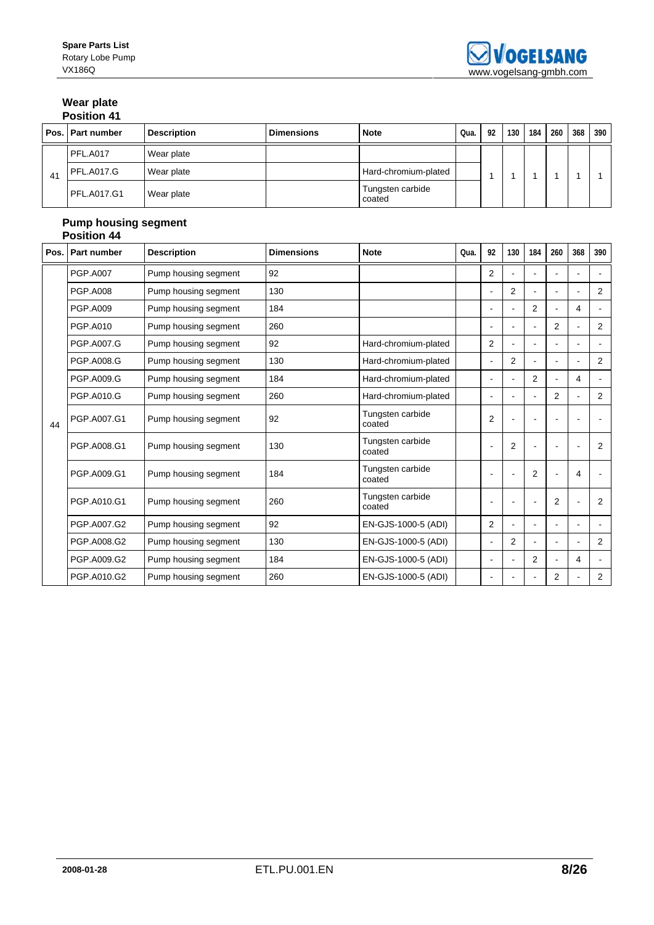## **Wear plate Position 41**

|    | Pos. Part number   | <b>Description</b> | <b>Dimensions</b> | <b>Note</b>                | Qua. | 92 | 130 | 184 | 260 | 368 | 390 |
|----|--------------------|--------------------|-------------------|----------------------------|------|----|-----|-----|-----|-----|-----|
|    | PFL.A017           | Wear plate         |                   |                            |      |    |     |     |     |     |     |
| 41 | <b>PFL.A017.G</b>  | Wear plate         |                   | Hard-chromium-plated       |      |    |     |     |     |     |     |
|    | <b>PFL.A017.G1</b> | Wear plate         |                   | Tungsten carbide<br>coated |      |    |     |     |     |     |     |

### **Pump housing segment Position 44**

| Pos. | Part number     | <b>Description</b>   | <b>Dimensions</b> | <b>Note</b>                | Qua. | 92             | 130            | 184 | 260 | 368            | 390            |
|------|-----------------|----------------------|-------------------|----------------------------|------|----------------|----------------|-----|-----|----------------|----------------|
|      | <b>PGP.A007</b> | Pump housing segment | 92                |                            |      | $\overline{2}$ |                |     |     |                |                |
|      | <b>PGP.A008</b> | Pump housing segment | 130               |                            |      |                | 2              |     |     | $\blacksquare$ | 2              |
|      | <b>PGP.A009</b> | Pump housing segment | 184               |                            |      |                | $\blacksquare$ | 2   |     | 4              | $\blacksquare$ |
|      | <b>PGP.A010</b> | Pump housing segment | 260               |                            |      |                | $\overline{a}$ |     | 2   | ÷.             | 2              |
|      | PGP.A007.G      | Pump housing segment | 92                | Hard-chromium-plated       |      | $\overline{2}$ |                |     |     | ٠              |                |
|      | PGP.A008.G      | Pump housing segment | 130               | Hard-chromium-plated       |      |                | $\overline{2}$ |     |     |                | 2              |
|      | PGP.A009.G      | Pump housing segment | 184               | Hard-chromium-plated       |      |                |                | 2   |     | 4              |                |
|      | PGP.A010.G      | Pump housing segment | 260               | Hard-chromium-plated       |      | $\blacksquare$ | ÷.             |     | 2   | $\blacksquare$ | $\overline{2}$ |
| 44   | PGP.A007.G1     | Pump housing segment | 92                | Tungsten carbide<br>coated |      | 2              |                |     |     |                |                |
|      | PGP.A008.G1     | Pump housing segment | 130               | Tungsten carbide<br>coated |      |                | 2              |     |     |                | 2              |
|      | PGP.A009.G1     | Pump housing segment | 184               | Tungsten carbide<br>coated |      |                |                | 2   |     | 4              |                |
|      | PGP.A010.G1     | Pump housing segment | 260               | Tungsten carbide<br>coated |      |                |                |     | 2   |                | 2              |
|      | PGP.A007.G2     | Pump housing segment | 92                | EN-GJS-1000-5 (ADI)        |      | $\overline{2}$ |                |     |     | ÷.             |                |
|      | PGP.A008.G2     | Pump housing segment | 130               | EN-GJS-1000-5 (ADI)        |      | $\blacksquare$ | 2              |     |     | $\blacksquare$ | 2              |
|      | PGP.A009.G2     | Pump housing segment | 184               | EN-GJS-1000-5 (ADI)        |      |                |                | 2   |     | 4              | $\blacksquare$ |
|      | PGP.A010.G2     | Pump housing segment | 260               | EN-GJS-1000-5 (ADI)        |      |                |                |     | 2   |                | 2              |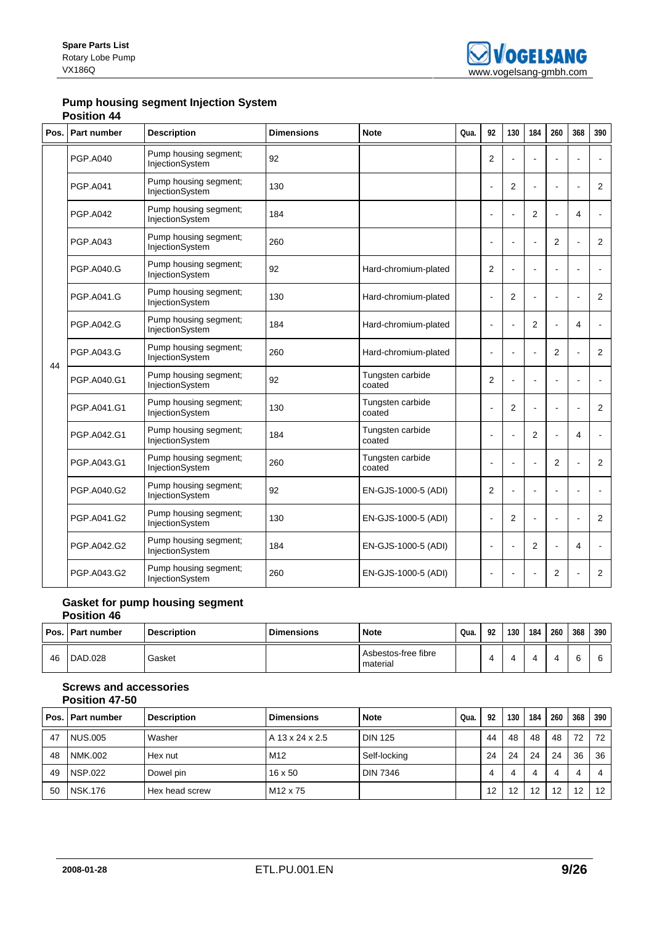## **Pump housing segment Injection System Position 44**

| Pos. | <b>Part number</b> | <b>Description</b>                       | <b>Dimensions</b> | <b>Note</b>                | Qua. | 92             | 130            | 184            | 260            | 368                      | 390            |
|------|--------------------|------------------------------------------|-------------------|----------------------------|------|----------------|----------------|----------------|----------------|--------------------------|----------------|
|      | <b>PGP.A040</b>    | Pump housing segment;<br>InjectionSystem | 92                |                            |      | 2              |                |                |                |                          |                |
|      | <b>PGP.A041</b>    | Pump housing segment;<br>InjectionSystem | 130               |                            |      | L,             | $\overline{2}$ |                |                |                          | 2              |
|      | <b>PGP.A042</b>    | Pump housing segment;<br>InjectionSystem | 184               |                            |      | ä,             | $\overline{a}$ | $\overline{2}$ |                | $\overline{4}$           |                |
|      | <b>PGP.A043</b>    | Pump housing segment;<br>InjectionSystem | 260               |                            |      |                |                |                | $\overline{2}$ |                          | 2              |
|      | <b>PGP.A040.G</b>  | Pump housing segment;<br>InjectionSystem | 92                | Hard-chromium-plated       |      | $\overline{2}$ |                |                | ä,             |                          |                |
|      | PGP.A041.G         | Pump housing segment;<br>InjectionSystem | 130               | Hard-chromium-plated       |      | $\overline{a}$ | $\overline{2}$ |                |                |                          | $\overline{2}$ |
| 44   | <b>PGP.A042.G</b>  | Pump housing segment;<br>InjectionSystem | 184               | Hard-chromium-plated       |      | $\overline{a}$ |                | 2              | Ĭ.             | 4                        |                |
|      | PGP.A043.G         | Pump housing segment;<br>InjectionSystem | 260               | Hard-chromium-plated       |      |                |                |                | 2              |                          | $\overline{2}$ |
|      | PGP.A040.G1        | Pump housing segment;<br>InjectionSystem | 92                | Tungsten carbide<br>coated |      | 2              | $\overline{a}$ | ä,             | $\blacksquare$ | $\overline{\phantom{a}}$ |                |
|      | PGP.A041.G1        | Pump housing segment;<br>InjectionSystem | 130               | Tungsten carbide<br>coated |      | $\blacksquare$ | $\overline{2}$ |                | $\overline{a}$ |                          | 2              |
|      | PGP.A042.G1        | Pump housing segment;<br>InjectionSystem | 184               | Tungsten carbide<br>coated |      |                |                | $\overline{2}$ |                | 4                        |                |
|      | PGP.A043.G1        | Pump housing segment;<br>InjectionSystem | 260               | Tungsten carbide<br>coated |      |                |                |                | $\overline{2}$ |                          | 2              |
|      | PGP.A040.G2        | Pump housing segment;<br>InjectionSystem | 92                | EN-GJS-1000-5 (ADI)        |      | $\overline{2}$ |                |                |                |                          |                |
|      | PGP.A041.G2        | Pump housing segment;<br>InjectionSystem | 130               | EN-GJS-1000-5 (ADI)        |      | ÷,             | 2              | ÷.             | $\blacksquare$ | $\overline{\phantom{a}}$ | $\overline{2}$ |
|      | PGP.A042.G2        | Pump housing segment;<br>InjectionSystem | 184               | EN-GJS-1000-5 (ADI)        |      | ÷              |                | $\overline{2}$ |                | $\overline{4}$           |                |
|      | PGP.A043.G2        | Pump housing segment;<br>InjectionSystem | 260               | EN-GJS-1000-5 (ADI)        |      | $\blacksquare$ |                |                | 2              |                          | $\overline{2}$ |

### **Gasket for pump housing segment Position 46**

|    | Pos.   Part number | <b>Description</b> | <b>Dimensions</b> | <b>Note</b>                     | Qua. | 92 | 130 | 184 | 260 | 368 | 390 |
|----|--------------------|--------------------|-------------------|---------------------------------|------|----|-----|-----|-----|-----|-----|
| 46 | DAD.028            | Gasket             |                   | Asbestos-free fibre<br>material |      |    |     |     |     |     |     |

## **Screws and accessories Position 47-50**

|    | Pos.   Part number | <b>Description</b> | <b>Dimensions</b>    | <b>Note</b>     | Qua. | 92 | 130 | 184 | 260 | 368 | 390               |
|----|--------------------|--------------------|----------------------|-----------------|------|----|-----|-----|-----|-----|-------------------|
| 47 | <b>NUS.005</b>     | Washer             | A 13 x 24 x 2.5      | <b>DIN 125</b>  |      | 44 | 48  | 48  | 48  | 72  | 72                |
| 48 | <b>NMK.002</b>     | Hex nut            | M12                  | Self-locking    |      | 24 | 24  | 24  | 24  | 36  | 36                |
| 49 | NSP.022            | Dowel pin          | $16 \times 50$       | <b>DIN 7346</b> |      |    | 4   | 4   |     | 4   |                   |
| 50 | <b>NSK.176</b>     | Hex head screw     | M <sub>12</sub> x 75 |                 |      | 12 | 12  | 12  | 12  | 12  | $12 \overline{ }$ |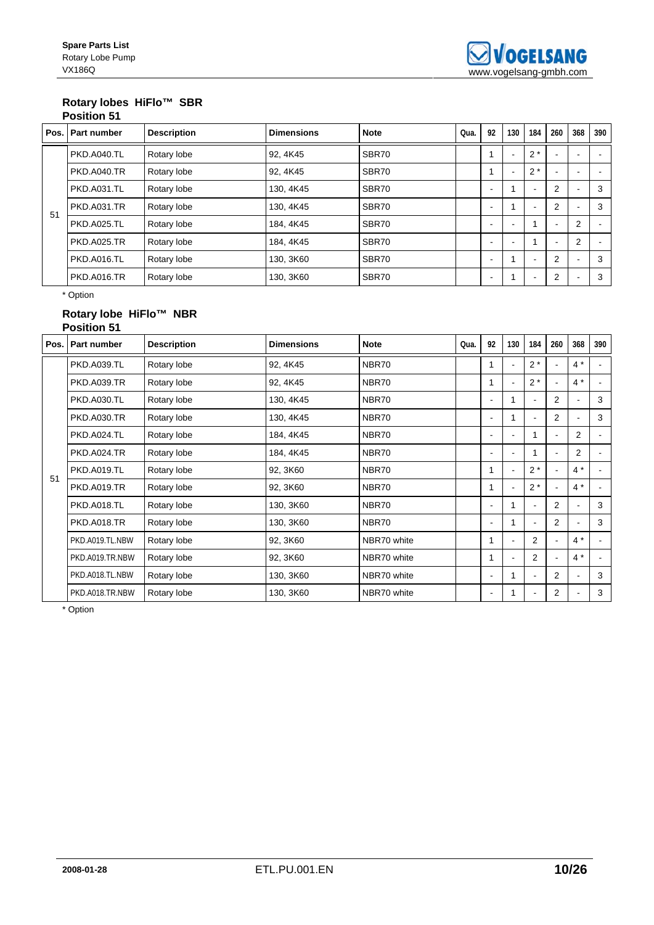## **Rotary lobes HiFlo™ SBR Position 51**

| Pos. | Part number        | <b>Description</b> | <b>Dimensions</b> | <b>Note</b> | Qua. | 92                       | 130 | 184                      | 260                      | 368                      | 390 |
|------|--------------------|--------------------|-------------------|-------------|------|--------------------------|-----|--------------------------|--------------------------|--------------------------|-----|
|      | <b>PKD.A040.TL</b> | Rotary lobe        | 92.4K45           | SBR70       |      |                          |     | $2*$                     | $\overline{\phantom{a}}$ |                          |     |
|      | <b>PKD.A040.TR</b> | Rotary lobe        | 92, 4K45          | SBR70       |      |                          |     | $2*$                     | ٠                        |                          |     |
| 51   | <b>PKD.A031.TL</b> | Rotary lobe        | 130, 4K45         | SBR70       |      | $\overline{\phantom{a}}$ |     |                          | 2                        | $\overline{\phantom{0}}$ | 3   |
|      | <b>PKD.A031.TR</b> | Rotary lobe        | 130, 4K45         | SBR70       |      | -                        |     |                          | $\overline{2}$           |                          | 3   |
|      | <b>PKD.A025.TL</b> | Rotary lobe        | 184, 4K45         | SBR70       |      |                          |     | ٠                        | $\blacksquare$           | $\overline{2}$           |     |
|      | <b>PKD.A025.TR</b> | Rotary lobe        | 184, 4K45         | SBR70       |      |                          |     |                          | $\overline{\phantom{a}}$ | $\overline{2}$           |     |
|      | PKD.A016.TL        | Rotary lobe        | 130, 3K60         | SBR70       |      |                          |     |                          | $\overline{2}$           |                          | 3   |
|      | <b>PKD.A016.TR</b> | Rotary lobe        | 130, 3K60         | SBR70       |      |                          |     | $\overline{\phantom{a}}$ | 2                        | $\overline{\phantom{a}}$ | 3   |

\* Option

## **Rotary lobe HiFlo™ NBR Position 51**

| Pos. | <b>Part number</b> | <b>Description</b> | <b>Dimensions</b> | <b>Note</b> | Qua. | 92                       | 130 | 184            | 260            | 368            | 390 |
|------|--------------------|--------------------|-------------------|-------------|------|--------------------------|-----|----------------|----------------|----------------|-----|
|      | <b>PKD.A039.TL</b> | Rotary lobe        | 92, 4K45          | NBR70       |      |                          |     | $2^*$          |                | $4 *$          |     |
|      | <b>PKD.A039.TR</b> | Rotary lobe        | 92, 4K45          | NBR70       |      |                          |     | $2*$           |                | $4 *$          |     |
|      | <b>PKD.A030.TL</b> | Rotary lobe        | 130, 4K45         | NBR70       |      | ۰                        |     |                | $\overline{2}$ | $\blacksquare$ | 3   |
|      | <b>PKD.A030.TR</b> | Rotary lobe        | 130, 4K45         | NBR70       |      |                          |     |                | $\overline{2}$ | $\blacksquare$ | 3   |
|      | PKD.A024.TL        | Rotary lobe        | 184, 4K45         | NBR70       |      |                          |     |                | ٠              | 2              |     |
|      | PKD.A024.TR        | Rotary lobe        | 184, 4K45         | NBR70       |      |                          |     |                |                | 2              |     |
| 51   | <b>PKD.A019.TL</b> | Rotary lobe        | 92, 3K60          | NBR70       |      |                          |     | $2^*$          |                | $4 *$          |     |
|      | <b>PKD.A019.TR</b> | Rotary lobe        | 92, 3K60          | NBR70       |      |                          |     | $2^*$          |                | $4 *$          |     |
|      | <b>PKD.A018.TL</b> | Rotary lobe        | 130, 3K60         | NBR70       |      | $\overline{\phantom{a}}$ |     |                | $\overline{2}$ |                | 3   |
|      | <b>PKD.A018.TR</b> | Rotary lobe        | 130, 3K60         | NBR70       |      |                          |     |                | 2              | $\blacksquare$ | 3   |
|      | PKD.A019.TL.NBW    | Rotary lobe        | 92, 3K60          | NBR70 white |      |                          |     | 2              | $\blacksquare$ | $4^*$          |     |
|      | PKD.A019.TR.NBW    | Rotary lobe        | 92, 3K60          | NBR70 white |      |                          |     | $\mathcal{P}$  | ٠              | $4^*$          |     |
|      | PKD.A018.TL.NBW    | Rotary lobe        | 130, 3K60         | NBR70 white |      | $\blacksquare$           |     | $\blacksquare$ | 2              | $\blacksquare$ | 3   |
|      | PKD.A018.TR.NBW    | Rotary lobe        | 130, 3K60         | NBR70 white |      | ٠                        |     |                | 2              | $\blacksquare$ | 3   |

\* Option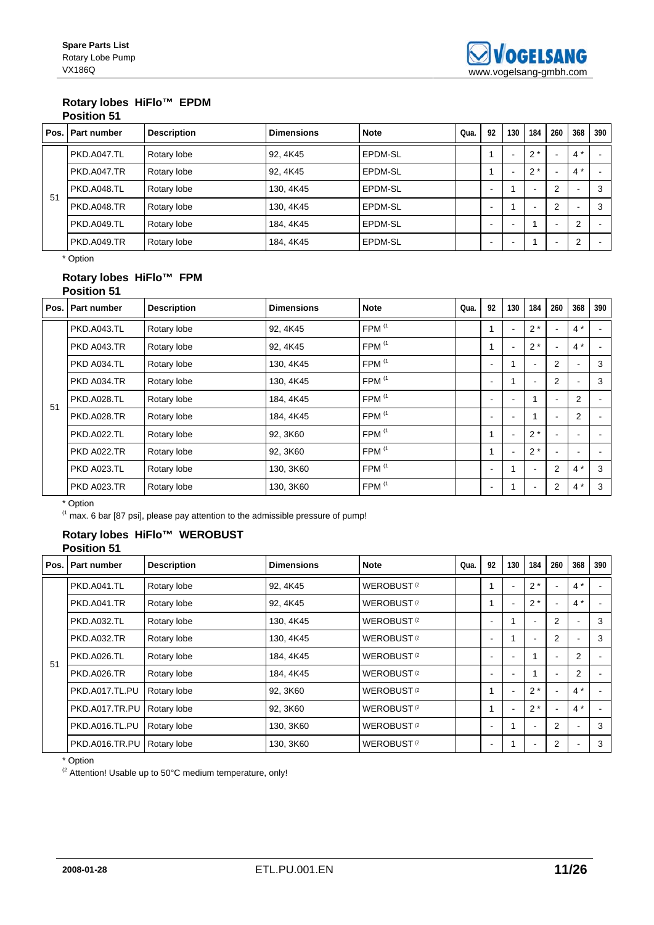## **Rotary lobes HiFlo™ EPDM Position 51**

|    | Pos. Part number | <b>Description</b> | <b>Dimensions</b> | <b>Note</b> | Qua. | 92 | 130 | 184   | 260                      | 368                      | 390 |
|----|------------------|--------------------|-------------------|-------------|------|----|-----|-------|--------------------------|--------------------------|-----|
|    | PKD.A047.TL      | Rotary lobe        | 92, 4K45          | EPDM-SL     |      |    |     | $2^*$ | $\overline{\phantom{0}}$ | $4 *$                    |     |
| 51 | PKD.A047.TR      | Rotary lobe        | 92, 4K45          | EPDM-SL     |      |    |     | $2^*$ | ۰                        | $4*$                     |     |
|    | PKD.A048.TL      | Rotary lobe        | 130, 4K45         | EPDM-SL     |      | ۰. |     |       | 2                        | $\overline{\phantom{0}}$ | 3   |
|    | PKD.A048.TR      | Rotary lobe        | 130, 4K45         | EPDM-SL     |      | ۰. |     |       | $\overline{2}$           | $\overline{\phantom{0}}$ | 3   |
|    | PKD.A049.TL      | Rotary lobe        | 184, 4K45         | EPDM-SL     |      | -  |     |       | $\overline{\phantom{0}}$ | $\overline{2}$           |     |
|    | PKD.A049.TR      | Rotary lobe        | 184, 4K45         | EPDM-SL     |      | -  |     |       | $\overline{\phantom{0}}$ | $\overline{2}$           |     |

\* Option

## **Rotary lobes HiFlo™ FPM Position 51**

|    | Pos.   Part number | <b>Description</b> | <b>Dimensions</b> | <b>Note</b>       | Qua. | 92 | 130 | 184                      | 260                      | 368                      | 390 |
|----|--------------------|--------------------|-------------------|-------------------|------|----|-----|--------------------------|--------------------------|--------------------------|-----|
|    | <b>PKD.A043.TL</b> | Rotary lobe        | 92.4K45           | FPM <sup>(1</sup> |      |    |     | $2^*$                    |                          | $4 *$                    |     |
|    | <b>PKD A043.TR</b> | Rotary lobe        | 92, 4K45          | FPM <sup>(1</sup> |      |    | ٠   | $2^*$                    | $\overline{\phantom{a}}$ | $4*$                     |     |
|    | PKD A034.TL        | Rotary lobe        | 130, 4K45         | FPM <sup>(1</sup> |      |    |     |                          | $\overline{2}$           | $\overline{\phantom{a}}$ | 3   |
|    | PKD A034.TR        | Rotary lobe        | 130, 4K45         | FPM <sup>(1</sup> |      | ۰  |     | ٠                        | 2                        | $\blacksquare$           | 3   |
| 51 | <b>PKD.A028.TL</b> | Rotary lobe        | 184, 4K45         | FPM <sup>(1</sup> |      |    |     |                          | $\overline{\phantom{a}}$ | $\overline{2}$           |     |
|    | <b>PKD.A028.TR</b> | Rotary lobe        | 184, 4K45         | FPM <sup>(1</sup> |      | ۰  | ۰   |                          | $\overline{\phantom{a}}$ | $\overline{2}$           |     |
|    | <b>PKD.A022.TL</b> | Rotary lobe        | 92, 3K60          | FPM <sup>(1</sup> |      |    |     | $2^*$                    |                          |                          |     |
|    | <b>PKD A022.TR</b> | Rotary lobe        | 92, 3K60          | FPM <sup>(1</sup> |      |    | ٠   | $2^*$                    |                          | ٠                        |     |
|    | PKD A023.TL        | Rotary lobe        | 130, 3K60         | FPM $(1)$         |      | ۰  |     | $\overline{\phantom{a}}$ | $\overline{2}$           | $4*$                     | 3   |
|    | <b>PKD A023.TR</b> | Rotary lobe        | 130, 3K60         | FPM <sup>(1</sup> |      |    |     |                          | $\overline{2}$           | $4 *$                    | 3   |

\* Option

(1 max. 6 bar [87 psi], please pay attention to the admissible pressure of pump!

## **Rotary lobes HiFlo™ WEROBUST Position 51**

| Pos. | Part number        | <b>Description</b> | <b>Dimensions</b> | <b>Note</b>                   | Qua. | 92 | 130 | 184            | 260            | 368            | 390 |
|------|--------------------|--------------------|-------------------|-------------------------------|------|----|-----|----------------|----------------|----------------|-----|
|      | <b>PKD.A041.TL</b> | Rotary lobe        | 92, 4K45          | <b>WEROBUST<sup>(2</sup>)</b> |      |    |     | $2*$           |                | $4^*$          |     |
|      | <b>PKD.A041.TR</b> | Rotary lobe        | 92, 4K45          | <b>WEROBUST<sup>(2</sup>)</b> |      |    | н.  | $2*$           | $\blacksquare$ | $4^*$          |     |
| 51   | <b>PKD.A032.TL</b> | Rotary lobe        | 130, 4K45         | <b>WEROBUST<sup>(2</sup>)</b> |      |    |     | ۰              | 2              | ٠              | 3   |
|      | <b>PKD.A032.TR</b> | Rotary lobe        | 130, 4K45         | <b>WEROBUST</b> <sup>2</sup>  |      |    |     | $\blacksquare$ | $\overline{2}$ |                | 3   |
|      | PKD.A026.TL        | Rotary lobe        | 184, 4K45         | <b>WEROBUST<sup>(2</sup>)</b> |      |    | н.  |                | $\blacksquare$ | $\overline{2}$ |     |
|      | <b>PKD.A026.TR</b> | Rotary lobe        | 184, 4K45         | <b>WEROBUST<sup>(2</sup>)</b> |      |    |     |                |                | $\overline{2}$ |     |
|      | PKD.A017.TL.PU     | Rotary lobe        | 92, 3K60          | <b>WEROBUST</b> <sup>2</sup>  |      |    |     | $2*$           | $\blacksquare$ | $4^*$          |     |
|      | PKD.A017.TR.PU     | Rotary lobe        | 92, 3K60          | <b>WEROBUST<sup>(2</sup>)</b> |      |    |     | $2*$           | $\blacksquare$ | $4^*$          |     |
|      | PKD.A016.TL.PU     | Rotary lobe        | 130, 3K60         | <b>WEROBUST<sup>(2</sup>)</b> |      |    |     | $\blacksquare$ | $\overline{2}$ |                | 3   |
|      | PKD.A016.TR.PU     | Rotary lobe        | 130, 3K60         | <b>WEROBUST<sup>(2</sup>)</b> |      |    |     |                | 2              |                | 3   |

\* Option

<sup>(2</sup> Attention! Usable up to 50°C medium temperature, only!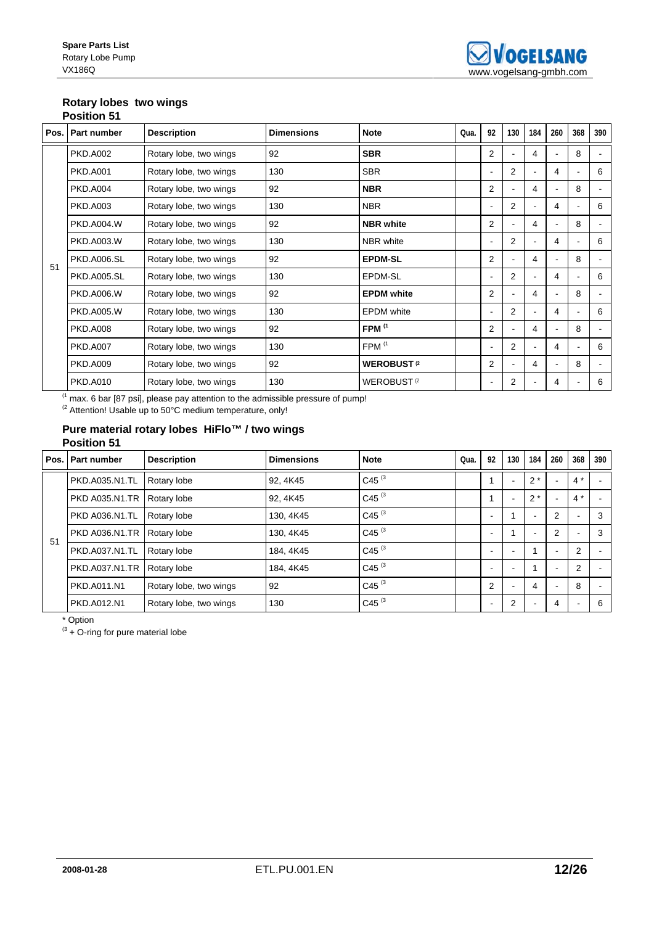# **Rotary lobes two wings**

|    | <b>Position 51</b> |                        |                   |                              |      |                          |                |        |                |                |                |
|----|--------------------|------------------------|-------------------|------------------------------|------|--------------------------|----------------|--------|----------------|----------------|----------------|
|    | Pos.   Part number | <b>Description</b>     | <b>Dimensions</b> | <b>Note</b>                  | Qua. | 92                       | 130            | 184    | 260            | 368            | 390            |
|    | <b>PKD.A002</b>    | Rotary lobe, two wings | 92                | <b>SBR</b>                   |      | $\overline{2}$           |                | 4      |                | 8              | $\blacksquare$ |
|    | <b>PKD.A001</b>    | Rotary lobe, two wings | 130               | <b>SBR</b>                   |      | $\blacksquare$           | 2              |        | $\overline{4}$ |                | 6              |
|    | <b>PKD.A004</b>    | Rotary lobe, two wings | 92                | <b>NBR</b>                   |      | $\overline{2}$           | $\blacksquare$ | 4      |                | 8              | $\blacksquare$ |
|    | <b>PKD.A003</b>    | Rotary lobe, two wings | 130               | <b>NBR</b>                   |      | ۰                        | $\overline{2}$ |        | 4              | $\blacksquare$ | 6              |
|    | <b>PKD.A004.W</b>  | Rotary lobe, two wings | 92                | <b>NBR</b> white             |      | $\overline{2}$           | ۰              | 4      |                | 8              | $\blacksquare$ |
|    | <b>PKD.A003.W</b>  | Rotary lobe, two wings | 130               | <b>NBR</b> white             |      | $\blacksquare$           | $\overline{2}$ |        | 4              |                | 6              |
| 51 | <b>PKD.A006.SL</b> | Rotary lobe, two wings | 92                | <b>EPDM-SL</b>               |      | $\overline{2}$           |                | 4      |                | 8              | $\blacksquare$ |
|    | <b>PKD.A005.SL</b> | Rotary lobe, two wings | 130               | EPDM-SL                      |      | $\blacksquare$           | $\overline{2}$ |        | 4              | $\blacksquare$ | 6              |
|    | <b>PKD.A006.W</b>  | Rotary lobe, two wings | 92                | <b>EPDM</b> white            |      | $\overline{2}$           |                | 4      |                | 8              | $\blacksquare$ |
|    | <b>PKD.A005.W</b>  | Rotary lobe, two wings | 130               | <b>EPDM</b> white            |      | $\blacksquare$           | 2              | $\sim$ | 4              | $\blacksquare$ | 6              |
|    | <b>PKD.A008</b>    | Rotary lobe, two wings | 92                | FPM <sup>(1</sup>            |      | $\overline{2}$           |                | 4      |                | 8              | $\blacksquare$ |
|    | <b>PKD.A007</b>    | Rotary lobe, two wings | 130               | FPM <sup>(1</sup>            |      |                          | 2              |        | $\overline{4}$ |                | 6              |
|    | <b>PKD.A009</b>    | Rotary lobe, two wings | 92                | <b>WEROBUST</b> <sup>2</sup> |      | $\overline{2}$           |                | 4      |                | 8              | $\blacksquare$ |
|    | <b>PKD.A010</b>    | Rotary lobe, two wings | 130               | WEROBUST <sup>(2</sup>       |      | $\overline{\phantom{a}}$ | 2              |        | 4              |                | 6              |

 $<sup>(1</sup>$  max. 6 bar [87 psi], please pay attention to the admissible pressure of pump!</sup>

 $^{(2)}$  Attention! Usable up to 50°C medium temperature, only!

### **Pure material rotary lobes HiFlo™ / two wings Position 51**

| Pos. | <b>Part number</b>    | <b>Description</b>     | <b>Dimensions</b> | <b>Note</b>       | Qua. | 92 | 130                      | 184                      | 260                      | 368                      | 390 |
|------|-----------------------|------------------------|-------------------|-------------------|------|----|--------------------------|--------------------------|--------------------------|--------------------------|-----|
|      | PKD.A035.N1.TL        | Rotary lobe            | 92, 4K45          | C45 <sup>(3</sup> |      |    | $\overline{\phantom{0}}$ | $2^*$                    |                          | $4^*$                    |     |
|      | <b>PKD A035.N1.TR</b> | Rotary lobe            | 92, 4K45          | C45 <sup>(3</sup> |      |    |                          | $2^*$                    |                          | $4^*$                    |     |
| 51   | <b>PKD A036.N1.TL</b> | Rotary lobe            | 130, 4K45         | C45 $(3)$         |      | -  |                          | $\overline{\phantom{a}}$ | $\overline{2}$           | $\blacksquare$           | 3   |
|      | <b>PKD A036.N1.TR</b> | Rotary lobe            | 130, 4K45         | C45 $(3)$         |      |    |                          | <b>.</b>                 | $\overline{2}$           | $\overline{\phantom{a}}$ | 3   |
|      | PKD.A037.N1.TL        | Rotary lobe            | 184, 4K45         | C45 $(3)$         |      | ۰  |                          |                          | $\overline{\phantom{a}}$ | $\overline{2}$           |     |
|      | PKD.A037.N1.TR        | Rotary lobe            | 184.4K45          | C45 $(3)$         |      |    |                          |                          | -                        | $\overline{2}$           |     |
|      | PKD.A011.N1           | Rotary lobe, two wings | 92                | C45 $(3)$         |      | 2  |                          | 4                        |                          | 8                        |     |
|      | PKD.A012.N1           | Rotary lobe, two wings | 130               | C45 <sup>(3</sup> |      | -  | $\overline{2}$           |                          | 4                        | $\overline{\phantom{a}}$ | 6   |

\* Option

 $(3 + O - r)$  for pure material lobe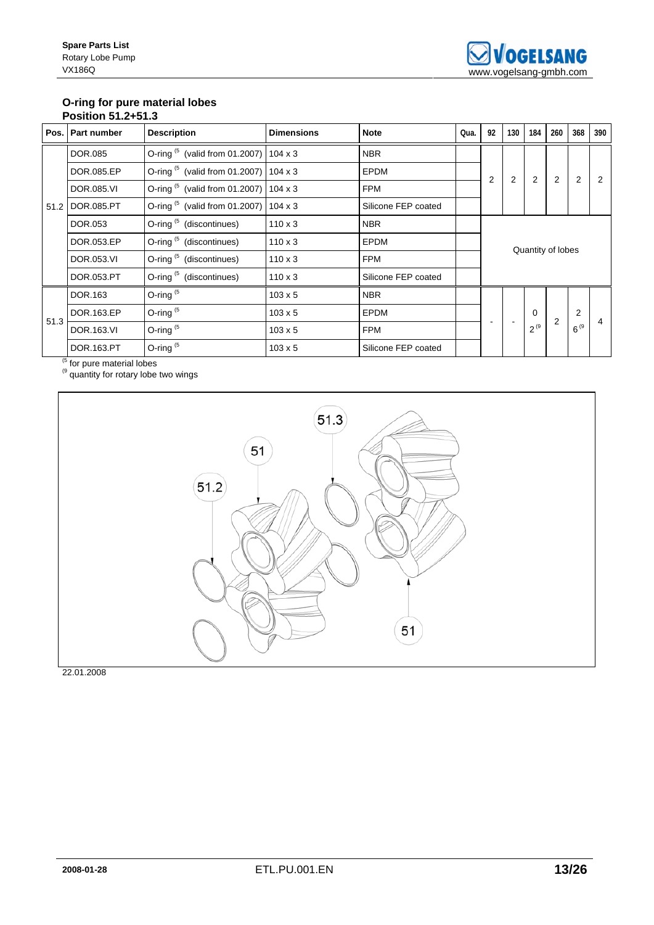## **O-ring for pure material lobes Position 51.2+51.3**

|      | Pos.   Part number | <b>Description</b>                                          | <b>Dimensions</b> | <b>Note</b>         | Qua. | 92 | 130 | 184       | 260               | 368            | 390 |
|------|--------------------|-------------------------------------------------------------|-------------------|---------------------|------|----|-----|-----------|-------------------|----------------|-----|
|      | <b>DOR.085</b>     | O-ring $(5 \text{ (valid from 01.2007)} \mid 104 \times 3$  |                   | <b>NBR</b>          |      |    |     |           |                   |                |     |
|      | DOR.085.EP         | O-ring $(5 \text{ (valid from 01.2007)} \mid 104 \times 3)$ |                   | <b>EPDM</b>         |      | 2  | 2   | 2         | 2                 | 2              |     |
|      | DOR.085.VI         | O-ring $(5 \text{ (valid from 01.2007)} \mid 104 \times 3)$ |                   | <b>FPM</b>          |      |    |     |           |                   |                |     |
|      | 51.2 DOR.085.PT    | O-ring $(5 \text{ (valid from 01.2007)} \mid 104 \times 3)$ |                   | Silicone FEP coated |      |    |     |           |                   |                |     |
|      | DOR.053            | O-ring (5 (discontinues)                                    | $110 \times 3$    | <b>NBR</b>          |      |    |     |           |                   |                |     |
|      | DOR.053.EP         | O-ring (5 (discontinues)                                    | $110 \times 3$    | <b>EPDM</b>         |      |    |     |           |                   |                |     |
|      | DOR.053.VI         | O-ring <sup>(5</sup> (discontinues)                         | $110 \times 3$    | <b>FPM</b>          |      |    |     |           | Quantity of lobes |                |     |
|      | DOR.053.PT         | O-ring (5 (discontinues)                                    | $110 \times 3$    | Silicone FEP coated |      |    |     |           |                   |                |     |
|      | DOR.163            | O-ring $(5)$                                                | $103 \times 5$    | <b>NBR</b>          |      |    |     |           |                   |                |     |
|      | DOR.163.EP         | O-ring $(5)$                                                | $103 \times 5$    | <b>EPDM</b>         |      |    |     | $\Omega$  | $\overline{2}$    | $\overline{2}$ |     |
| 51.3 | DOR.163.VI         | O-ring $(5)$                                                | $103 \times 5$    | <b>FPM</b>          |      |    |     | $2^{(9)}$ |                   | $6^{9}$        |     |
|      | DOR.163.PT         | O-ring $(5)$                                                | $103 \times 5$    | Silicone FEP coated |      |    |     |           |                   |                |     |

<sup>(5</sup> for pure material lobes

 $<sup>(9)</sup>$  quantity for rotary lobe two wings</sup>

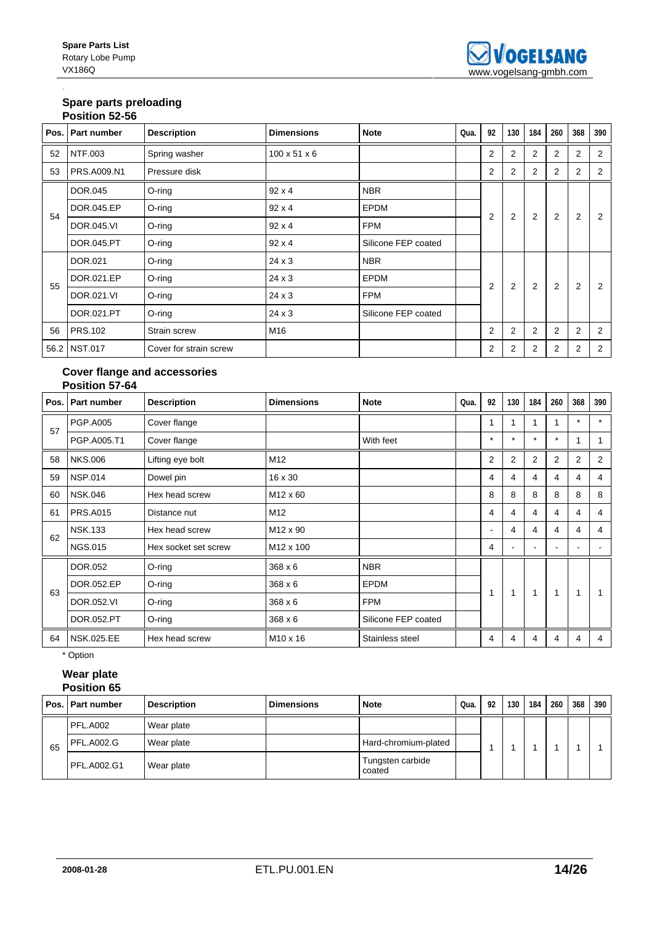## **Spare parts preloading Position 52-56**

| סט בט ווטאונטר |                    |                        |                          |                     |      |                |                |                |                |                |     |  |  |
|----------------|--------------------|------------------------|--------------------------|---------------------|------|----------------|----------------|----------------|----------------|----------------|-----|--|--|
|                | Pos.   Part number | <b>Description</b>     | <b>Dimensions</b>        | <b>Note</b>         | Qua. | 92             | 130            | 184            | 260            | 368            | 390 |  |  |
| 52             | NTF.003            | Spring washer          | $100 \times 51 \times 6$ |                     |      | $\overline{2}$ | $\overline{2}$ | 2              | $\overline{2}$ | $\overline{2}$ | 2   |  |  |
| 53             | PRS.A009.N1        | Pressure disk          |                          |                     |      | $\overline{2}$ | $\overline{2}$ | $\overline{2}$ | 2              | 2              | 2   |  |  |
|                | DOR.045            | $O$ -ring              | $92 \times 4$            | <b>NBR</b>          |      |                |                |                |                |                |     |  |  |
| 54             | DOR.045.EP         | $O$ -ring              | $92 \times 4$            | <b>EPDM</b>         |      | $\overline{2}$ | $\overline{2}$ | $\overline{2}$ | 2              | 2              | 2   |  |  |
|                | DOR.045.VI         | $O$ -ring              | $92 \times 4$            | <b>FPM</b>          |      |                |                |                |                |                |     |  |  |
|                | DOR.045.PT         | O-ring                 | $92 \times 4$            | Silicone FEP coated |      |                |                |                |                |                |     |  |  |
|                | DOR.021            | O-ring                 | 24 x 3                   | <b>NBR</b>          |      |                |                |                |                |                |     |  |  |
| 55             | DOR.021.EP         | $O$ -ring              | 24 x 3                   | <b>EPDM</b>         |      | $\overline{2}$ | $\overline{2}$ | 2              | 2              | $\overline{2}$ | 2   |  |  |
|                | DOR.021.VI         | $O$ -ring              | 24 x 3                   | <b>FPM</b>          |      |                |                |                |                |                |     |  |  |
|                | DOR.021.PT         | $O$ -ring              | $24 \times 3$            | Silicone FEP coated |      |                |                |                |                |                |     |  |  |
| 56             | <b>PRS.102</b>     | Strain screw           | M16                      |                     |      | 2              | $\overline{2}$ | 2              | 2              | 2              | 2   |  |  |
|                | 56.2 NST.017       | Cover for strain screw |                          |                     |      | 2              | 2              | 2              | 2              | 2              | 2   |  |  |

### **Cover flange and accessories Position 57-64**

| Pos. | Part number       | <b>Description</b>   | <b>Dimensions</b>     | <b>Note</b>         | Qua. | 92      | 130     | 184            | 260            | 368     | 390            |
|------|-------------------|----------------------|-----------------------|---------------------|------|---------|---------|----------------|----------------|---------|----------------|
| 57   | <b>PGP.A005</b>   | Cover flange         |                       |                     |      |         |         | 1              |                | $\star$ | $\star$        |
|      | PGP.A005.T1       | Cover flange         |                       | With feet           |      | $\star$ | $\star$ | $\star$        | $\star$        |         |                |
| 58   | <b>NKS.006</b>    | Lifting eye bolt     | M <sub>12</sub>       |                     |      | 2       | 2       | $\overline{2}$ | $\overline{2}$ | 2       | $\overline{2}$ |
| 59   | <b>NSP.014</b>    | Dowel pin            | 16 x 30               |                     |      | 4       | 4       | 4              | 4              | 4       | 4              |
| 60   | <b>NSK.046</b>    | Hex head screw       | M <sub>12</sub> x 60  |                     |      | 8       | 8       | 8              | 8              | 8       | 8              |
| 61   | <b>PRS.A015</b>   | Distance nut         | M12                   |                     |      | 4       | 4       | 4              | 4              | 4       | 4              |
| 62   | <b>NSK.133</b>    | Hex head screw       | M <sub>12</sub> x 90  |                     |      | ۰       | 4       | 4              | 4              | 4       | 4              |
|      | <b>NGS.015</b>    | Hex socket set screw | M <sub>12</sub> x 100 |                     |      | 4       |         |                |                | ۰       |                |
|      | DOR.052           | O-ring               | 368 x 6               | <b>NBR</b>          |      |         |         |                |                |         |                |
| 63   | DOR.052.EP        | O-ring               | 368 x 6               | <b>EPDM</b>         |      |         | 1       | 1              | 1              | 1       |                |
|      | DOR.052.VI        | O-ring               | 368 x 6               | <b>FPM</b>          |      |         |         |                |                |         |                |
|      | DOR.052.PT        | O-ring               | 368 x 6               | Silicone FEP coated |      |         |         |                |                |         |                |
| 64   | <b>NSK.025.EE</b> | Hex head screw       | M <sub>10</sub> x 16  | Stainless steel     |      | 4       | 4       | 4              | 4              | 4       | 4              |

\* Option

### **Wear plate Position 65**

|    | Pos. Part number  | <b>Description</b> | <b>Dimensions</b> | <b>Note</b>                | Qua. | 92 | 130 | 184 | 260 | 368 | 390 |
|----|-------------------|--------------------|-------------------|----------------------------|------|----|-----|-----|-----|-----|-----|
|    | PFL.A002          | Wear plate         |                   |                            |      |    |     |     |     |     |     |
| 65 | <b>PFL.A002.G</b> | Wear plate         |                   | Hard-chromium-plated       |      |    |     |     |     |     |     |
|    | PFL.A002.G1       | Wear plate         |                   | Tungsten carbide<br>coated |      |    |     |     |     |     |     |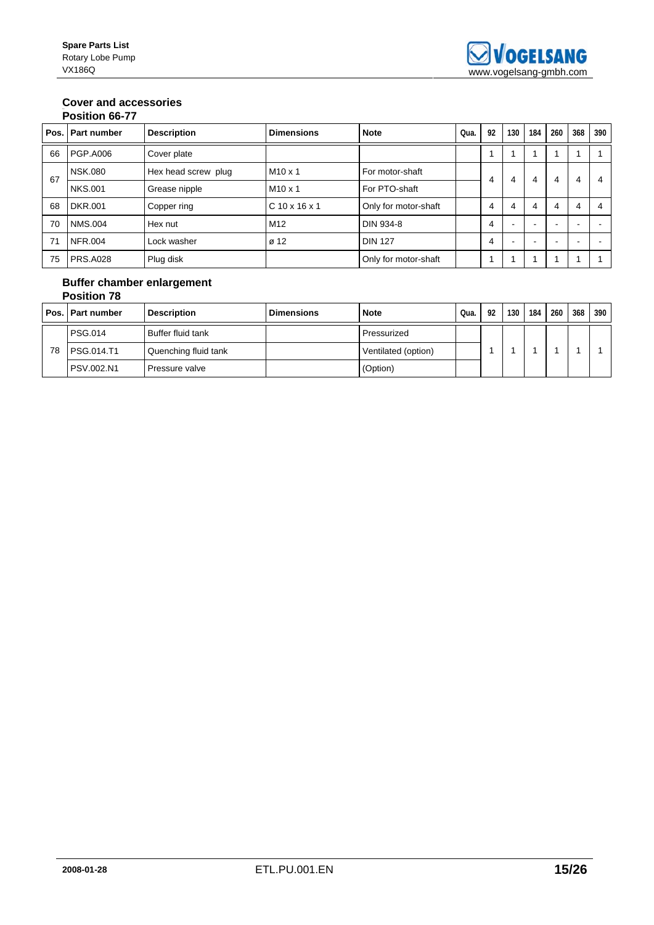## **Cover and accessories**

|    | Pos. Part number | <b>Description</b>  | <b>Dimensions</b> | <b>Note</b>          | Oua. | 92 | 130 | 184 | 260 | 368 | 390 |
|----|------------------|---------------------|-------------------|----------------------|------|----|-----|-----|-----|-----|-----|
| 66 | <b>PGP.A006</b>  | Cover plate         |                   |                      |      |    |     |     |     |     |     |
| 67 | <b>NSK.080</b>   | Hex head screw plug | $M10 \times 1$    | For motor-shaft      |      | 4  | 4   | 4   | 4   | 4   |     |
|    | <b>NKS.001</b>   | Grease nipple       | $M10 \times 1$    | For PTO-shaft        |      |    |     |     |     |     |     |
| 68 | <b>DKR.001</b>   | Copper ring         | $C$ 10 x 16 x 1   | Only for motor-shaft |      | 4  | 4   | 4   | 4   | 4   |     |
| 70 | <b>NMS.004</b>   | Hex nut             | M <sub>12</sub>   | DIN 934-8            |      | 4  |     |     |     |     |     |
| 71 | <b>NFR.004</b>   | Lock washer         | ø 12              | <b>DIN 127</b>       |      | 4  | -   |     |     |     |     |
| 75 | PRS.A028         | Plug disk           |                   | Only for motor-shaft |      |    |     |     |     |     |     |

### **Buffer chamber enlargement Position 78**

|    | <b>Pos. Part number</b> | <b>Description</b>   | <b>Dimensions</b> | <b>Note</b>         | Qua. | 92 | 130 | 184 | 260 | 368 | 390 |
|----|-------------------------|----------------------|-------------------|---------------------|------|----|-----|-----|-----|-----|-----|
|    | PSG.014                 | Buffer fluid tank    |                   | Pressurized         |      |    |     |     |     |     |     |
| 78 | <b>PSG.014.T1</b>       | Quenching fluid tank |                   | Ventilated (option) |      |    |     |     |     |     |     |
|    | <b>PSV.002.N1</b>       | Pressure valve       |                   | (Option)            |      |    |     |     |     |     |     |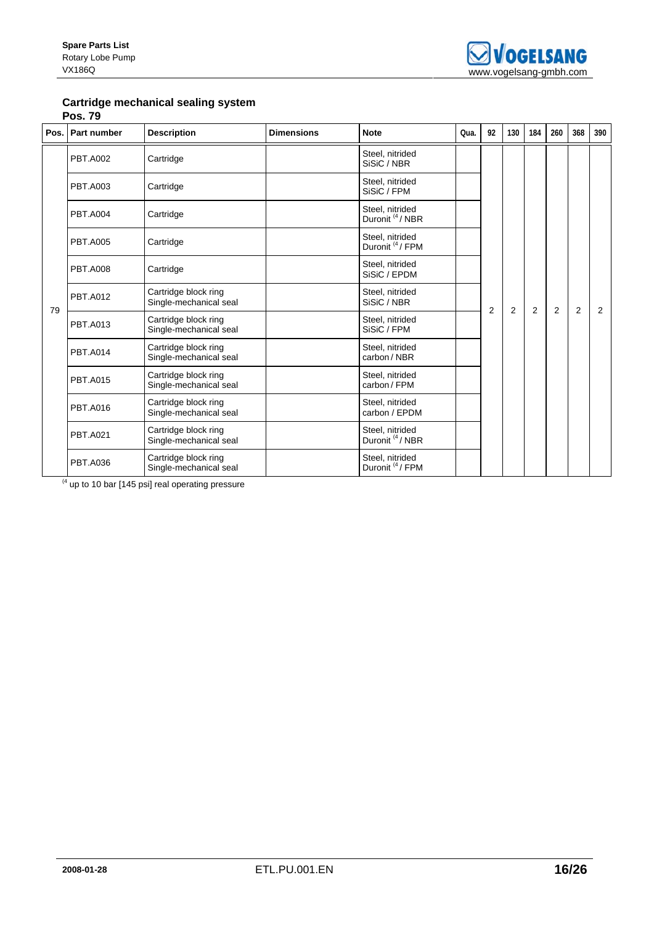

## **Cartridge mechanical sealing system**

**Pos. 79** 

| Pos. | Part number     | <b>Description</b>                             | <b>Dimensions</b> | <b>Note</b>                                    | Oua. | 92             | 130            | 184            | 260 | 368            | 390 |
|------|-----------------|------------------------------------------------|-------------------|------------------------------------------------|------|----------------|----------------|----------------|-----|----------------|-----|
|      | <b>PBT.A002</b> | Cartridge                                      |                   | Steel, nitrided<br>SiSiC / NBR                 |      |                |                |                |     |                |     |
|      | <b>PBT.A003</b> | Cartridge                                      |                   | Steel, nitrided<br>SiSiC / FPM                 |      |                |                |                |     |                |     |
|      | <b>PBT.A004</b> | Cartridge                                      |                   | Steel, nitrided<br>Duronit <sup>(4</sup> /NBR) |      |                |                |                |     |                |     |
| 79   | <b>PBT.A005</b> | Cartridge                                      |                   | Steel, nitrided<br>Duronit <sup>(4</sup> /FPM  |      |                |                |                |     |                |     |
|      | <b>PBT.A008</b> | Cartridge                                      |                   | Steel, nitrided<br>SiSiC / EPDM                |      |                |                |                |     |                |     |
|      | <b>PBT.A012</b> | Cartridge block ring<br>Single-mechanical seal |                   | Steel, nitrided<br>SiSiC / NBR                 |      | $\overline{2}$ | $\overline{2}$ | $\overline{2}$ | 2   | $\overline{2}$ | 2   |
|      | <b>PBT.A013</b> | Cartridge block ring<br>Single-mechanical seal |                   | Steel, nitrided<br>SiSiC / FPM                 |      |                |                |                |     |                |     |
|      | <b>PBT.A014</b> | Cartridge block ring<br>Single-mechanical seal |                   | Steel, nitrided<br>carbon / NBR                |      |                |                |                |     |                |     |
|      | <b>PBT.A015</b> | Cartridge block ring<br>Single-mechanical seal |                   | Steel, nitrided<br>carbon/FPM                  |      |                |                |                |     |                |     |
|      | <b>PBT.A016</b> | Cartridge block ring<br>Single-mechanical seal |                   | Steel, nitrided<br>carbon / EPDM               |      |                |                |                |     |                |     |
|      | <b>PBT.A021</b> | Cartridge block ring<br>Single-mechanical seal |                   | Steel, nitrided<br>Duronit <sup>(4</sup> /NBR  |      |                |                |                |     |                |     |
|      | <b>PBT.A036</b> | Cartridge block ring<br>Single-mechanical seal |                   | Steel, nitrided<br>Duronit <sup>(4</sup> /FPM  |      |                |                |                |     |                |     |

 $(4 \text{ up to 10 bar } [145 \text{ psi}] \text{ real operating pressure})$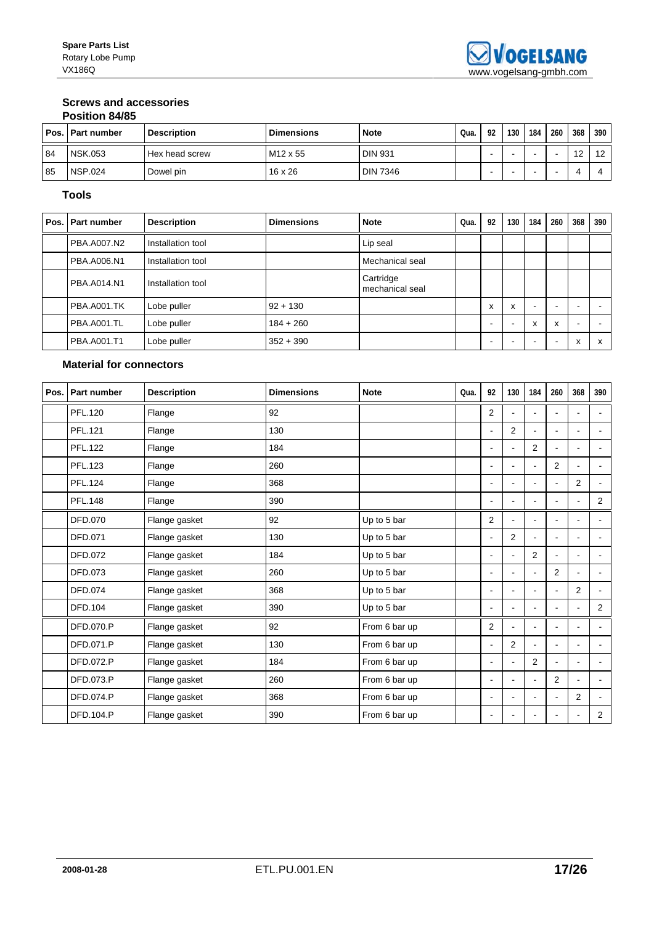#### **Screws and accessories Position 84/85**

|    | COMPO IIODI D           |                    |                      |                 |      |    |     |     |     |     |     |
|----|-------------------------|--------------------|----------------------|-----------------|------|----|-----|-----|-----|-----|-----|
|    | <b>Pos. Part number</b> | <b>Description</b> | <b>Dimensions</b>    | <b>Note</b>     | Qua. | 92 | 130 | 184 | 260 | 368 | 390 |
| 84 | <b>NSK.053</b>          | Hex head screw     | M <sub>12</sub> x 55 | <b>DIN 931</b>  |      |    |     |     |     | 12  | 12  |
| 85 | <b>NSP.024</b>          | Dowel pin          | $16 \times 26$       | <b>DIN 7346</b> |      |    |     |     | -   |     |     |

## **Tools**

| Pos. Part number   | <b>Description</b> | <b>Dimensions</b> | <b>Note</b>                  | Qua. | 92 | 130 | 184                       | 260 | 368                      | 390               |
|--------------------|--------------------|-------------------|------------------------------|------|----|-----|---------------------------|-----|--------------------------|-------------------|
| <b>PBA.A007.N2</b> | Installation tool  |                   | Lip seal                     |      |    |     |                           |     |                          |                   |
| PBA.A006.N1        | Installation tool  |                   | Mechanical seal              |      |    |     |                           |     |                          |                   |
| PBA.A014.N1        | Installation tool  |                   | Cartridge<br>mechanical seal |      |    |     |                           |     |                          |                   |
| PBA.A001.TK        | Lobe puller        | $92 + 130$        |                              |      | x  | X   | $\overline{\phantom{0}}$  | -   | $\overline{\phantom{0}}$ |                   |
| PBA.A001.TL        | Lobe puller        | $184 + 260$       |                              |      | -  | -   | $\boldsymbol{\mathsf{x}}$ | x   | $\overline{\phantom{a}}$ |                   |
| <b>PBA.A001.T1</b> | Lobe puller        | $352 + 390$       |                              |      |    |     |                           | -   | X                        | $\checkmark$<br>ж |

## **Material for connectors**

| Pos.   Part number | <b>Description</b> | <b>Dimensions</b> | <b>Note</b>   | Qua. | 92             | 130                      | 184            | 260            | 368                      | 390            |
|--------------------|--------------------|-------------------|---------------|------|----------------|--------------------------|----------------|----------------|--------------------------|----------------|
| <b>PFL.120</b>     | Flange             | 92                |               |      | 2              | ۰                        |                |                | $\blacksquare$           |                |
| PFL.121            | Flange             | 130               |               |      |                | 2                        |                |                |                          |                |
| <b>PFL.122</b>     | Flange             | 184               |               |      |                |                          | $\overline{2}$ |                |                          |                |
| <b>PFL.123</b>     | Flange             | 260               |               |      | ۰              | $\blacksquare$           | ٠              | 2              | $\blacksquare$           |                |
| <b>PFL.124</b>     | Flange             | 368               |               |      | ۰              | $\overline{\phantom{a}}$ | $\sim$         | $\overline{a}$ | $\overline{2}$           | $\overline{a}$ |
| <b>PFL.148</b>     | Flange             | 390               |               |      | ٠              | $\blacksquare$           | $\sim$         |                | $\overline{\phantom{a}}$ | $\overline{2}$ |
| DFD.070            | Flange gasket      | 92                | Up to 5 bar   |      | $\overline{2}$ | $\blacksquare$           | $\blacksquare$ |                | $\blacksquare$           | $\overline{a}$ |
| DFD.071            | Flange gasket      | 130               | Up to 5 bar   |      | $\blacksquare$ | $\overline{2}$           |                | $\blacksquare$ | $\sim$                   |                |
| DFD.072            | Flange gasket      | 184               | Up to 5 bar   |      | ۰              |                          | $\overline{2}$ |                | $\overline{a}$           |                |
| DFD.073            | Flange gasket      | 260               | Up to 5 bar   |      | ÷.             |                          |                | 2              |                          |                |
| DFD.074            | Flange gasket      | 368               | Up to 5 bar   |      | ۰              |                          |                |                | $\overline{2}$           |                |
| DFD.104            | Flange gasket      | 390               | Up to 5 bar   |      | ۰              | $\overline{\phantom{a}}$ | $\blacksquare$ |                | $\blacksquare$           | 2              |
| DFD.070.P          | Flange gasket      | 92                | From 6 bar up |      | 2              |                          |                |                | ÷.                       |                |
| DFD.071.P          | Flange gasket      | 130               | From 6 bar up |      | $\blacksquare$ | 2                        |                | $\blacksquare$ | $\blacksquare$           | $\overline{a}$ |
| <b>DFD.072.P</b>   | Flange gasket      | 184               | From 6 bar up |      | ۰              |                          | $\overline{2}$ |                | $\overline{\phantom{a}}$ | ٠              |
| <b>DFD.073.P</b>   | Flange gasket      | 260               | From 6 bar up |      |                |                          |                | 2              |                          |                |
| DFD.074.P          | Flange gasket      | 368               | From 6 bar up |      |                |                          |                |                | 2                        |                |
| <b>DFD.104.P</b>   | Flange gasket      | 390               | From 6 bar up |      |                | ٠                        |                |                | $\blacksquare$           | $\overline{2}$ |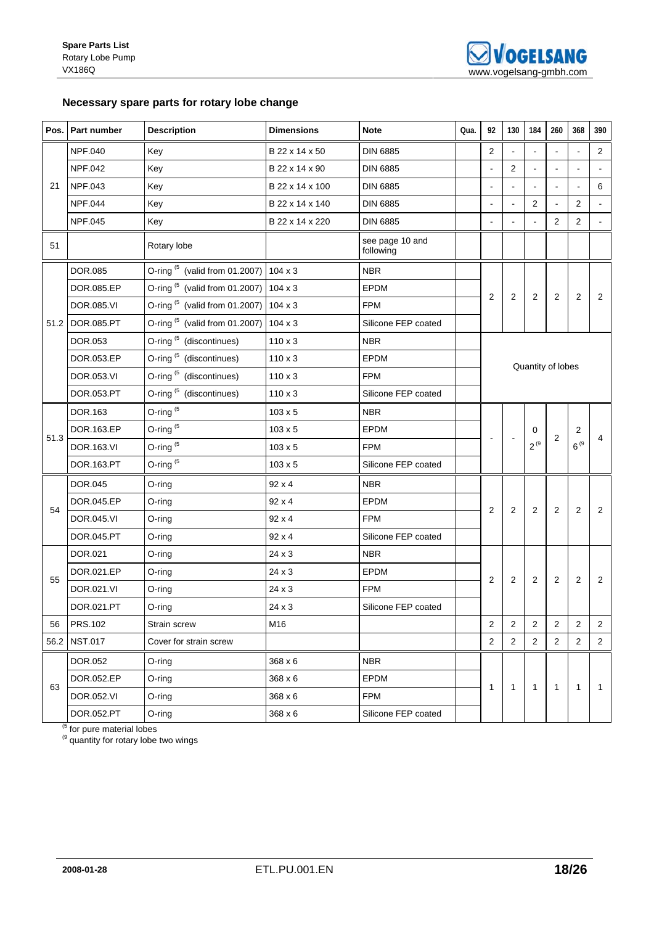## **Necessary spare parts for rotary lobe change**

|      | Pos. Part number | <b>Description</b>                                          | <b>Dimensions</b> | <b>Note</b>                  | Qua. | 92             | 130            | 184            | 260               | 368            | 390            |
|------|------------------|-------------------------------------------------------------|-------------------|------------------------------|------|----------------|----------------|----------------|-------------------|----------------|----------------|
|      | <b>NPF.040</b>   | Key                                                         | B 22 x 14 x 50    | <b>DIN 6885</b>              |      | 2              | $\blacksquare$ |                |                   |                | 2              |
|      | <b>NPF.042</b>   | Key                                                         | B 22 x 14 x 90    | <b>DIN 6885</b>              |      | $\blacksquare$ | $\overline{2}$ |                |                   | $\blacksquare$ |                |
| 21   | <b>NPF.043</b>   | Key                                                         | B 22 x 14 x 100   | <b>DIN 6885</b>              |      | ÷.             |                |                |                   | $\blacksquare$ | 6              |
|      | <b>NPF.044</b>   | Key                                                         | B 22 x 14 x 140   | <b>DIN 6885</b>              |      |                | $\blacksquare$ | 2              |                   | 2              | $\blacksquare$ |
|      | NPF.045          | Key                                                         | B 22 x 14 x 220   | <b>DIN 6885</b>              |      |                |                |                | $\overline{2}$    | $\overline{2}$ | $\omega$       |
| 51   |                  | Rotary lobe                                                 |                   | see page 10 and<br>following |      |                |                |                |                   |                |                |
|      | DOR.085          | O-ring $(5 \text{ (valid from 01.2007)} \mid 104 \times 3)$ |                   | <b>NBR</b>                   |      |                |                |                |                   |                |                |
|      | DOR.085.EP       | O-ring $(5 \text{ (valid from 01.2007)} \mid 104 \times 3)$ |                   | EPDM                         |      | $\overline{2}$ | $\sqrt{2}$     | 2              | $\overline{2}$    | 2              | 2              |
|      | DOR.085.VI       | O-ring (5 (valid from 01.2007) 104 x 3                      |                   | <b>FPM</b>                   |      |                |                |                |                   |                |                |
|      | 51.2 DOR.085.PT  | O-ring $(5 \text{ (valid from 01.2007)} \mid 104 \times 3)$ |                   | Silicone FEP coated          |      |                |                |                |                   |                |                |
|      | DOR.053          | O-ring <sup>(5</sup> (discontinues)                         | $110 \times 3$    | <b>NBR</b>                   |      |                |                |                |                   |                |                |
|      | DOR.053.EP       | O-ring <sup>(5</sup> (discontinues)                         | $110 \times 3$    | <b>EPDM</b>                  |      |                |                |                | Quantity of lobes |                |                |
|      | DOR.053.VI       | O-ring <sup>(5</sup> (discontinues)                         | $110 \times 3$    | <b>FPM</b>                   |      |                |                |                |                   |                |                |
|      | DOR.053.PT       | O-ring <sup>(5</sup> (discontinues)                         | $110 \times 3$    | Silicone FEP coated          |      |                |                |                |                   |                |                |
|      | DOR.163          | O-ring $(5)$                                                | $103 \times 5$    | <b>NBR</b>                   |      |                |                |                |                   |                |                |
| 51.3 | DOR.163.EP       | O-ring $(5)$                                                | $103 \times 5$    | EPDM                         |      |                |                | 0              | 2                 | $\overline{c}$ | $\overline{4}$ |
|      | DOR.163.VI       | O-ring <sup>(5</sup>                                        | $103 \times 5$    | <b>FPM</b>                   |      |                |                | $2^{(9)}$      |                   | $6^{9}$        |                |
|      | DOR.163.PT       | O-ring <sup>(5</sup>                                        | $103 \times 5$    | Silicone FEP coated          |      |                |                |                |                   |                |                |
|      | DOR.045          | O-ring                                                      | 92 x 4            | <b>NBR</b>                   |      |                |                |                |                   |                |                |
| 54   | DOR.045.EP       | O-ring                                                      | 92 x 4            | <b>EPDM</b>                  |      | 2              | $\overline{2}$ | 2              | 2                 | $\overline{2}$ | 2              |
|      | DOR.045.VI       | O-ring                                                      | 92 x 4            | <b>FPM</b>                   |      |                |                |                |                   |                |                |
|      | DOR.045.PT       | O-ring                                                      | 92 x 4            | Silicone FEP coated          |      |                |                |                |                   |                |                |
|      | DOR.021          | O-ring                                                      | 24 x 3            | <b>NBR</b>                   |      |                |                |                |                   |                |                |
| 55   | DOR.021.EP       | O-ring                                                      | 24 x 3            | EPDM                         |      | 2              | $\overline{2}$ | $\overline{2}$ | 2                 | $\overline{2}$ | 2              |
|      | DOR.021.VI       | O-ring                                                      | 24 x 3            | <b>FPM</b>                   |      |                |                |                |                   |                |                |
|      | DOR.021.PT       | $O$ -ring                                                   | 24 x 3            | Silicone FEP coated          |      |                |                |                |                   |                |                |
| 56   | <b>PRS.102</b>   | Strain screw                                                | M16               |                              |      | 2              | 2              | $\overline{2}$ | $\overline{2}$    | 2              | 2              |
|      | 56.2 NST.017     | Cover for strain screw                                      |                   |                              |      | 2              | $\overline{2}$ | $\overline{2}$ | $\overline{2}$    | $\overline{c}$ | $\overline{2}$ |
|      | DOR.052          | O-ring                                                      | 368 x 6           | <b>NBR</b>                   |      |                |                |                |                   |                |                |
|      | DOR.052.EP       | O-ring                                                      | 368 x 6           | <b>EPDM</b>                  |      |                |                |                |                   |                |                |
| 63   | DOR.052.VI       | O-ring                                                      | 368 x 6           | FPM                          |      | 1              | $\mathbf{1}$   | $\mathbf{1}$   | $\overline{1}$    | 1              | $\mathbf{1}$   |
|      | DOR.052.PT       | O-ring                                                      | 368 x 6           | Silicone FEP coated          |      |                |                |                |                   |                |                |

<sup>(5</sup> for pure material lobes

 $<sup>(9)</sup>$  quantity for rotary lobe two wings</sup>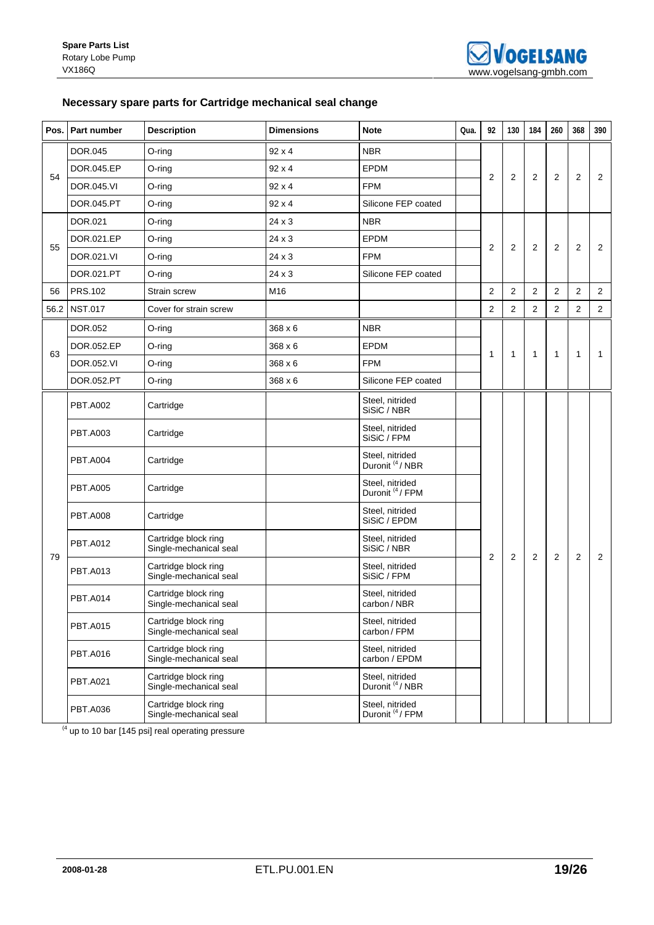## **Necessary spare parts for Cartridge mechanical seal change**

|    | Pos. Part number | <b>Description</b>                             | <b>Dimensions</b> | <b>Note</b>                                   | Qua. | 92             | 130            | 184            | 260            | 368            | 390            |
|----|------------------|------------------------------------------------|-------------------|-----------------------------------------------|------|----------------|----------------|----------------|----------------|----------------|----------------|
|    | <b>DOR.045</b>   | $O$ -ring                                      | $92 \times 4$     | <b>NBR</b>                                    |      |                |                |                |                |                |                |
|    | DOR.045.EP       | $O$ -ring                                      | $92 \times 4$     | <b>EPDM</b>                                   |      |                |                |                |                |                |                |
| 54 | DOR.045.VI       | O-ring                                         | $92 \times 4$     | <b>FPM</b>                                    |      | 2              | 2              | 2              | 2              | 2              | $\overline{2}$ |
|    | DOR.045.PT       | $O$ -ring                                      | $92 \times 4$     | Silicone FEP coated                           |      |                |                |                |                |                |                |
|    | DOR.021          | $O$ -ring                                      | 24 x 3            | <b>NBR</b>                                    |      |                |                |                |                |                |                |
| 55 | DOR.021.EP       | O-ring                                         | $24 \times 3$     | <b>EPDM</b>                                   |      | $\overline{2}$ | 2              | 2              | 2              | $\overline{c}$ | 2              |
|    | DOR.021.VI       | O-ring                                         | 24 x 3            | <b>FPM</b>                                    |      |                |                |                |                |                |                |
|    | DOR.021.PT       | $O$ -ring                                      | 24 x 3            | Silicone FEP coated                           |      |                |                |                |                |                |                |
| 56 | <b>PRS.102</b>   | <b>Strain screw</b>                            | M16               |                                               |      | 2              | 2              | 2              | 2              | $\overline{2}$ | $\overline{2}$ |
|    | 56.2 NST.017     | Cover for strain screw                         |                   |                                               |      | 2              | $\overline{2}$ | $\overline{2}$ | $\overline{2}$ | $\overline{2}$ | 2              |
|    | <b>DOR.052</b>   | $O$ -ring                                      | 368 x 6           | <b>NBR</b>                                    |      |                |                |                |                |                |                |
|    | DOR.052.EP       | $O$ -ring                                      | 368 x 6           | <b>EPDM</b>                                   |      |                |                |                |                |                |                |
| 63 | DOR.052.VI       | O-ring                                         | $368 \times 6$    | <b>FPM</b>                                    |      | $\mathbf{1}$   | $\mathbf{1}$   | $\mathbf{1}$   | $\mathbf{1}$   | 1              | 1              |
|    | DOR.052.PT       | $O$ -ring                                      | $368 \times 6$    | Silicone FEP coated                           |      |                |                |                |                |                |                |
|    | <b>PBT.A002</b>  | Cartridge                                      |                   | Steel, nitrided<br>SiSiC / NBR                |      |                |                |                |                |                |                |
|    | <b>PBT.A003</b>  | Cartridge                                      |                   | Steel, nitrided<br>SiSiC / FPM                |      |                |                |                |                |                |                |
|    | <b>PBT.A004</b>  | Cartridge                                      |                   | Steel, nitrided<br>Duronit <sup>(4</sup> /NBR |      |                |                |                |                |                |                |
|    | <b>PBT.A005</b>  | Cartridge                                      |                   | Steel, nitrided<br>Duronit <sup>(4</sup> /FPM |      |                |                |                |                |                |                |
|    | <b>PBT.A008</b>  | Cartridge                                      |                   | Steel, nitrided<br>SiSiC / EPDM               |      |                |                |                |                |                |                |
|    | <b>PBT.A012</b>  | Cartridge block ring<br>Single-mechanical seal |                   | Steel, nitrided<br>SiSiC / NBR                |      |                |                |                |                |                |                |
| 79 | <b>PBT.A013</b>  | Cartridge block ring<br>Single-mechanical seal |                   | Steel, nitrided<br>SiSiC / FPM                |      | $\overline{2}$ | 2              | 2              | 2              | $\overline{2}$ | 2              |
|    | <b>PBT.A014</b>  | Cartridge block ring<br>Single-mechanical seal |                   | Steel, nitrided<br>carbon/NBR                 |      |                |                |                |                |                |                |
|    | <b>PBT.A015</b>  | Cartridge block ring<br>Single-mechanical seal |                   | Steel, nitrided<br>carbon / FPM               |      |                |                |                |                |                |                |
|    | <b>PBT.A016</b>  | Cartridge block ring<br>Single-mechanical seal |                   | Steel, nitrided<br>carbon / EPDM              |      |                |                |                |                |                |                |
|    | <b>PBT.A021</b>  | Cartridge block ring<br>Single-mechanical seal |                   | Steel, nitrided<br>Duronit <sup>(4</sup> /NBR |      |                |                |                |                |                |                |
|    | <b>PBT.A036</b>  | Cartridge block ring<br>Single-mechanical seal |                   | Steel, nitrided<br>Duronit <sup>(4</sup> /FPM |      |                |                |                |                |                |                |

 $(4 \text{ up to 10 bar } [145 \text{ psi}] \text{ real operating pressure})$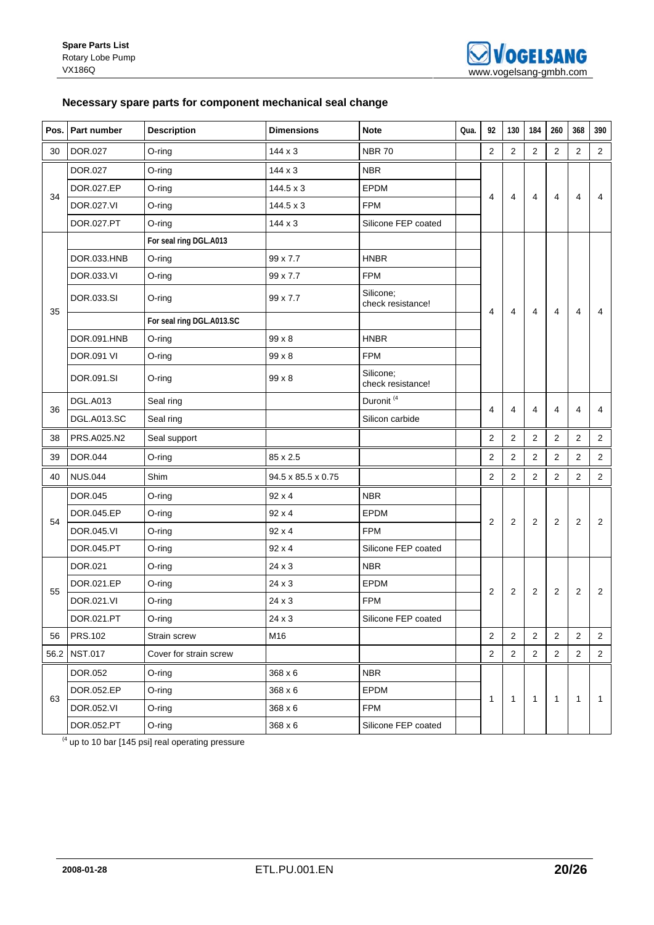## **Necessary spare parts for component mechanical seal change**

|    | Pos. Part number  | <b>Description</b>        | <b>Dimensions</b>  | <b>Note</b>                    | Qua. | 92             | 130            | 184                     | 260                     | 368            | 390            |
|----|-------------------|---------------------------|--------------------|--------------------------------|------|----------------|----------------|-------------------------|-------------------------|----------------|----------------|
| 30 | DOR.027           | O-ring                    | $144 \times 3$     | <b>NBR 70</b>                  |      | $\overline{2}$ | 2              | $\sqrt{2}$              | $\sqrt{2}$              | $\overline{2}$ | $\overline{2}$ |
|    | DOR.027           | O-ring                    | $144 \times 3$     | <b>NBR</b>                     |      |                |                |                         |                         |                |                |
|    | DOR.027.EP        | $O$ -ring                 | $144.5 \times 3$   | <b>EPDM</b>                    |      |                |                |                         |                         |                |                |
| 34 | DOR.027.VI        | $O$ -ring                 | 144.5 x 3          | <b>FPM</b>                     |      | 4              | 4              | 4                       | 4                       | 4              | 4              |
|    | DOR.027.PT        | O-ring                    | $144 \times 3$     | Silicone FEP coated            |      |                |                |                         |                         |                |                |
|    |                   | For seal ring DGL.A013    |                    |                                |      |                |                |                         |                         |                |                |
|    | DOR.033.HNB       | $O$ -ring                 | 99 x 7.7           | <b>HNBR</b>                    |      |                |                |                         |                         |                |                |
|    | DOR.033.VI        | O-ring                    | 99 x 7.7           | <b>FPM</b>                     |      |                |                |                         |                         |                |                |
| 35 | DOR.033.SI        | $O$ -ring                 | 99 x 7.7           | Silicone;<br>check resistance! |      | 4              | 4              | 4                       |                         |                | 4              |
|    |                   | For seal ring DGL.A013.SC |                    |                                |      |                |                |                         | 4                       | 4              |                |
|    | DOR.091.HNB       | $O$ -ring                 | 99 x 8             | <b>HNBR</b>                    |      |                |                |                         |                         |                |                |
|    | <b>DOR.091 VI</b> | $O$ -ring                 | 99 x 8             | <b>FPM</b>                     |      |                |                |                         |                         |                |                |
|    | DOR.091.SI        | O-ring                    | 99 x 8             | Silicone;<br>check resistance! |      |                |                |                         |                         |                |                |
| 36 | <b>DGL.A013</b>   | Seal ring                 |                    | Duronit <sup>(4</sup>          |      | 4              | 4              | 4                       | $\overline{\mathbf{4}}$ | 4              | 4              |
|    | DGL.A013.SC       | Seal ring                 |                    | Silicon carbide                |      |                |                |                         |                         |                |                |
| 38 | PRS.A025.N2       | Seal support              |                    |                                |      | 2              | 2              | $\overline{\mathbf{c}}$ | $\sqrt{2}$              | 2              | $\mathbf 2$    |
| 39 | DOR.044           | O-ring                    | 85 x 2.5           |                                |      | 2              | 2              | 2                       | $\overline{c}$          | $\overline{c}$ | $\overline{2}$ |
| 40 | <b>NUS.044</b>    | Shim                      | 94.5 x 85.5 x 0.75 |                                |      | 2              | 2              | 2                       | 2                       | 2              | $\overline{2}$ |
|    | DOR.045           | $O$ -ring                 | $92 \times 4$      | <b>NBR</b>                     |      |                |                |                         |                         |                |                |
|    | DOR.045.EP        | $O$ -ring                 | 92 x 4             | EPDM                           |      |                |                |                         |                         |                |                |
| 54 | DOR.045.VI        | $O$ -ring                 | $92 \times 4$      | <b>FPM</b>                     |      | $\overline{2}$ | 2              | 2                       | 2                       | 2              | 2              |
|    | DOR.045.PT        | $O$ -ring                 | $92 \times 4$      | Silicone FEP coated            |      |                |                |                         |                         |                |                |
|    | DOR.021           | O-ring                    | 24 x 3             | <b>NBR</b>                     |      |                |                |                         |                         |                |                |
| 55 | DOR.021.EP        | $O$ -ring                 | $24 \times 3$      | <b>EPDM</b>                    |      | $\overline{2}$ | $\overline{2}$ | $\overline{2}$          | 2                       | 2              | $\overline{c}$ |
|    | DOR.021.VI        | O-ring                    | 24 x 3             | <b>FPM</b>                     |      |                |                |                         |                         |                |                |
|    | DOR.021.PT        | O-ring                    | 24 x 3             | Silicone FEP coated            |      |                |                |                         |                         |                |                |
| 56 | <b>PRS.102</b>    | Strain screw              | M16                |                                |      | $\overline{2}$ | $\overline{2}$ | $\overline{2}$          | $\overline{2}$          | $\overline{2}$ | $\overline{2}$ |
|    | 56.2 NST.017      | Cover for strain screw    |                    |                                |      | $\overline{2}$ | $\overline{2}$ | $\overline{2}$          | $\overline{2}$          | $\overline{2}$ | $\overline{2}$ |
|    | DOR.052           | O-ring                    | 368 x 6            | <b>NBR</b>                     |      |                |                |                         |                         |                |                |
|    | DOR.052.EP        | O-ring                    | 368 x 6            | EPDM                           |      |                |                |                         |                         |                |                |
| 63 | DOR.052.VI        | O-ring                    | 368 x 6            | <b>FPM</b>                     |      | $\mathbf{1}$   | $\mathbf{1}$   | $\mathbf{1}$            | $\overline{1}$          | $\mathbf{1}$   | $\mathbf{1}$   |
|    | DOR.052.PT        | O-ring                    | 368 x 6            | Silicone FEP coated            |      |                |                |                         |                         |                |                |

 $(4 \text{ up to 10 bar } [145 \text{ psi}] \text{ real operating pressure})$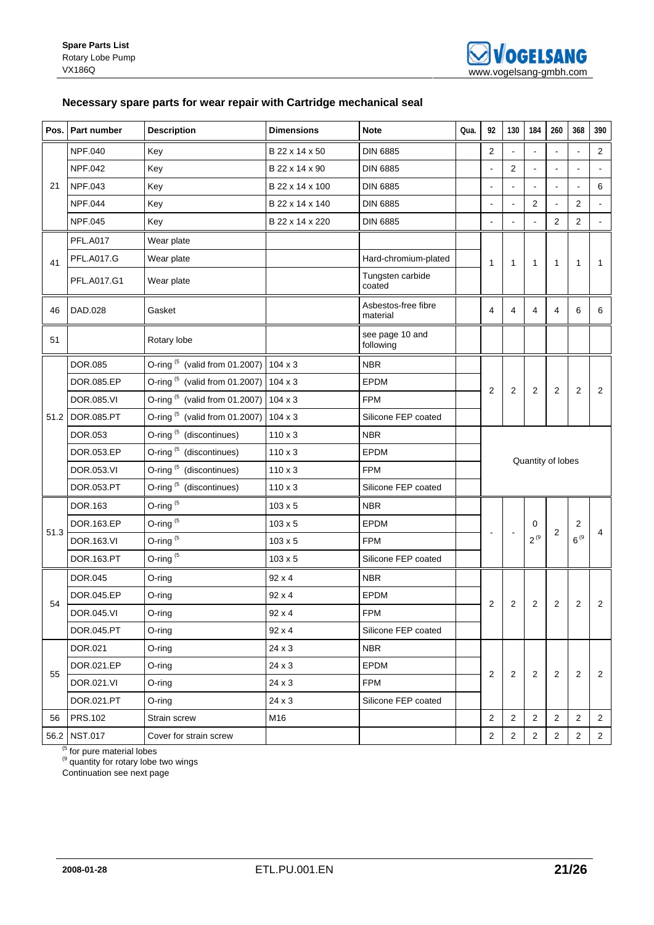## **Necessary spare parts for wear repair with Cartridge mechanical seal**

|      | Pos. Part number  | <b>Description</b>                                | <b>Dimensions</b> | <b>Note</b>                     | Qua. | 92                      | 130            | 184            | 260               | 368            | 390            |
|------|-------------------|---------------------------------------------------|-------------------|---------------------------------|------|-------------------------|----------------|----------------|-------------------|----------------|----------------|
|      | <b>NPF.040</b>    | Key                                               | B 22 x 14 x 50    | <b>DIN 6885</b>                 |      | 2                       |                |                |                   |                | 2              |
|      | <b>NPF.042</b>    | Key                                               | B 22 x 14 x 90    | <b>DIN 6885</b>                 |      | ä,                      | $\overline{2}$ |                |                   | $\overline{a}$ |                |
| 21   | <b>NPF.043</b>    | Key                                               | B 22 x 14 x 100   | <b>DIN 6885</b>                 |      |                         |                |                |                   |                | $\,6\,$        |
|      | <b>NPF.044</b>    | Key                                               | B 22 x 14 x 140   | <b>DIN 6885</b>                 |      |                         | $\blacksquare$ | $\overline{2}$ |                   | 2              |                |
|      | <b>NPF.045</b>    | Key                                               | B 22 x 14 x 220   | <b>DIN 6885</b>                 |      |                         |                |                | $\overline{2}$    | $\overline{2}$ | $\omega$       |
|      | <b>PFL.A017</b>   | Wear plate                                        |                   |                                 |      |                         |                |                |                   |                |                |
| 41   | <b>PFL.A017.G</b> | Wear plate                                        |                   | Hard-chromium-plated            |      | 1                       | $\mathbf{1}$   | 1              | $\mathbf{1}$      | $\mathbf{1}$   | 1              |
|      | PFL.A017.G1       | Wear plate                                        |                   | Tungsten carbide<br>coated      |      |                         |                |                |                   |                |                |
| 46   | DAD.028           | Gasket                                            |                   | Asbestos-free fibre<br>material |      | $\overline{4}$          | 4              | 4              | $\overline{4}$    | 6              | 6              |
| 51   |                   | Rotary lobe                                       |                   | see page 10 and<br>following    |      |                         |                |                |                   |                |                |
|      | DOR.085           | O-ring (5 (valid from 01.2007) 104 x 3            |                   | <b>NBR</b>                      |      |                         |                |                |                   |                |                |
|      | DOR.085.EP        | O-ring <sup>(5</sup> (valid from 01.2007) 104 x 3 |                   | <b>EPDM</b>                     |      |                         |                |                |                   |                |                |
|      | DOR.085.VI        | O-ring $(5)$ (valid from 01.2007)                 | $104 \times 3$    | <b>FPM</b>                      |      | $\overline{2}$          | 2              | $\overline{2}$ | $\overline{2}$    | $\overline{2}$ | 2              |
|      | 51.2 DOR.085.PT   | O-ring $(5)$ (valid from 01.2007)                 | $104 \times 3$    | Silicone FEP coated             |      |                         |                |                |                   |                |                |
|      | <b>DOR.053</b>    | O-ring <sup>(5</sup> (discontinues)               | $110 \times 3$    | <b>NBR</b>                      |      |                         |                |                |                   |                |                |
|      | DOR.053.EP        | O-ring (5 (discontinues)                          | $110 \times 3$    | <b>EPDM</b>                     |      |                         |                |                | Quantity of lobes |                |                |
|      | DOR.053.VI        | O-ring <sup>(5</sup> (discontinues)               | $110 \times 3$    | <b>FPM</b>                      |      |                         |                |                |                   |                |                |
|      | DOR.053.PT        | O-ring <sup>(5</sup> (discontinues)               | $110 \times 3$    | Silicone FEP coated             |      |                         |                |                |                   |                |                |
|      | DOR.163           | O-ring $(5)$                                      | $103 \times 5$    | <b>NBR</b>                      |      |                         |                |                |                   |                |                |
| 51.3 | DOR.163.EP        | O-ring $(5)$                                      | $103 \times 5$    | EPDM                            |      |                         |                | 0              | $\overline{c}$    | 2              | 4              |
|      | DOR.163.VI        | O-ring <sup>(5</sup>                              | $103 \times 5$    | <b>FPM</b>                      |      |                         |                | $2^{(9)}$      |                   | $6^{9}$        |                |
|      | DOR.163.PT        | O-ring <sup>(5</sup>                              | $103 \times 5$    | Silicone FEP coated             |      |                         |                |                |                   |                |                |
|      | DOR.045           | O-ring                                            | 92 x 4            | <b>NBR</b>                      |      |                         |                |                |                   |                |                |
| 54   | DOR.045.EP        | O-ring                                            | $92 \times 4$     | <b>EPDM</b>                     |      | $\overline{\mathbf{c}}$ | 2              | 2              | 2                 | $\overline{c}$ | 2              |
|      | DOR.045.VI        | O-ring                                            | 92 x 4            | FPM                             |      |                         |                |                |                   |                |                |
|      | DOR.045.PT        | $O$ -ring                                         | 92 x 4            | Silicone FEP coated             |      |                         |                |                |                   |                |                |
|      | DOR.021           | O-ring                                            | 24 x 3            | <b>NBR</b>                      |      |                         |                |                |                   |                |                |
| 55   | DOR.021.EP        | O-ring                                            | 24 x 3            | <b>EPDM</b>                     |      | 2                       | $\overline{c}$ | $\overline{2}$ | $\overline{2}$    | $\mathbf{2}$   | $\overline{2}$ |
|      | DOR.021.VI        | O-ring                                            | 24 x 3            | <b>FPM</b>                      |      |                         |                |                |                   |                |                |
|      | DOR.021.PT        | O-ring                                            | 24 x 3            | Silicone FEP coated             |      |                         |                |                |                   |                |                |
| 56   | <b>PRS.102</b>    | Strain screw                                      | M16               |                                 |      | $\overline{2}$          | $\overline{2}$ | $\overline{2}$ | $\overline{2}$    | $\mathbf{2}$   | $\overline{2}$ |
|      | 56.2 NST.017      | Cover for strain screw                            |                   |                                 |      | $\overline{c}$          | $\overline{2}$ | $\overline{2}$ | $\overline{2}$    | $\overline{2}$ | $\overline{2}$ |

<sup>(5</sup> for pure material lobes

<sup>(9</sup> quantity for rotary lobe two wings

Continuation see next page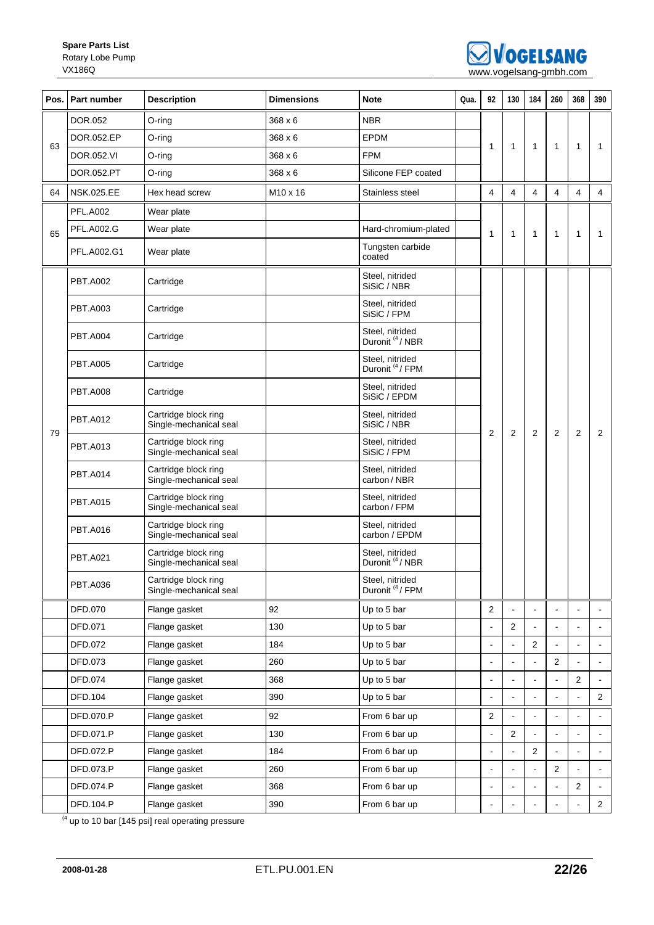

| Pos. | Part number       | <b>Description</b>                             | <b>Dimensions</b>    | <b>Note</b>                                   | Qua. | 92             | 130                  | 184          | 260            | 368                      | 390            |
|------|-------------------|------------------------------------------------|----------------------|-----------------------------------------------|------|----------------|----------------------|--------------|----------------|--------------------------|----------------|
|      | DOR.052           | O-ring                                         | $368 \times 6$       | <b>NBR</b>                                    |      |                |                      |              |                |                          |                |
|      | DOR.052.EP        | O-ring                                         | $368 \times 6$       | <b>EPDM</b>                                   |      |                |                      |              |                |                          |                |
| 63   | DOR.052.VI        | O-ring                                         | 368 x 6              | <b>FPM</b>                                    |      | 1              | 1                    | $\mathbf{1}$ | $\mathbf{1}$   | 1                        | 1              |
|      | DOR.052.PT        | O-ring                                         | 368 x 6              | Silicone FEP coated                           |      |                |                      |              |                |                          |                |
| 64   | <b>NSK.025.EE</b> | Hex head screw                                 | M <sub>10</sub> x 16 | Stainless steel                               |      | 4              | 4                    | 4            | 4              | 4                        | 4              |
| 65   | <b>PFL.A002</b>   | Wear plate                                     |                      |                                               |      |                |                      |              | $\mathbf{1}$   | 1                        |                |
|      | <b>PFL.A002.G</b> | Wear plate                                     |                      | Hard-chromium-plated                          |      | 1              | $\mathbf 1$          | 1            |                |                          | 1              |
|      | PFL.A002.G1       | Wear plate                                     |                      | Tungsten carbide<br>coated                    |      |                |                      |              |                |                          |                |
|      | <b>PBT.A002</b>   | Cartridge                                      |                      | Steel, nitrided<br>SiSiC / NBR                |      |                |                      |              |                |                          |                |
|      | <b>PBT.A003</b>   | Cartridge                                      |                      | Steel, nitrided<br>SiSiC / FPM                |      |                |                      |              |                |                          |                |
|      | <b>PBT.A004</b>   | Cartridge                                      |                      | Steel, nitrided<br>Duronit <sup>(4</sup> /NBR |      |                |                      |              |                |                          |                |
|      | <b>PBT.A005</b>   | Cartridge                                      |                      | Steel, nitrided<br>Duronit <sup>(4</sup> /FPM |      |                |                      |              |                |                          |                |
|      | <b>PBT.A008</b>   | Cartridge                                      |                      | Steel, nitrided<br>SiSiC / EPDM               |      |                |                      |              |                |                          |                |
| 79   | <b>PBT.A012</b>   | Cartridge block ring<br>Single-mechanical seal |                      | Steel, nitrided<br>SiSiC / NBR                |      | 2              | $\overline{2}$       | 2            | $\overline{2}$ | $\overline{2}$           | $\overline{2}$ |
|      | <b>PBT.A013</b>   | Cartridge block ring<br>Single-mechanical seal |                      | Steel, nitrided<br>SiSiC / FPM                |      |                |                      |              |                |                          |                |
|      | <b>PBT.A014</b>   | Cartridge block ring<br>Single-mechanical seal |                      | Steel, nitrided<br>carbon / NBR               |      |                |                      |              |                |                          |                |
|      | <b>PBT.A015</b>   | Cartridge block ring<br>Single-mechanical seal |                      | Steel, nitrided<br>carbon/FPM                 |      |                |                      |              |                |                          |                |
|      | <b>PBT.A016</b>   | Cartridge block ring<br>Single-mechanical seal |                      | Steel, nitrided<br>carbon / EPDM              |      |                |                      |              |                |                          |                |
|      | <b>PBT.A021</b>   | Cartridge block ring<br>Single-mechanical seal |                      | Steel, nitrided<br>Duronit <sup>(4</sup> /NBR |      |                |                      |              |                |                          |                |
|      | <b>PBT.A036</b>   | Cartridge block ring<br>Single-mechanical seal |                      | Steel, nitrided<br>Duronit <sup>(4</sup> /FPM |      |                |                      |              |                |                          |                |
|      | DFD.070           | Flange gasket                                  | 92                   | Up to 5 bar                                   |      | $\overline{2}$ |                      |              |                | $\blacksquare$           |                |
|      | DFD.071           | Flange gasket                                  | 130                  | Up to 5 bar                                   |      |                | $\overline{c}$       |              |                |                          |                |
|      | DFD.072           | Flange gasket                                  | 184                  | Up to 5 bar                                   |      |                |                      | 2            |                |                          |                |
|      | DFD.073           | Flange gasket                                  | 260                  | Up to 5 bar                                   |      | ÷,             | $\ddot{\phantom{a}}$ |              | 2              | $\blacksquare$           | $\blacksquare$ |
|      | DFD.074           | Flange gasket                                  | 368                  | Up to 5 bar                                   |      |                |                      |              |                | $\overline{c}$           |                |
|      | DFD.104           | Flange gasket                                  | 390                  | Up to 5 bar                                   |      |                |                      |              |                | $\overline{\phantom{a}}$ | $\overline{2}$ |
|      | DFD.070.P         | Flange gasket                                  | 92                   | From 6 bar up                                 |      | 2              |                      |              |                | $\blacksquare$           |                |
|      | DFD.071.P         | Flange gasket                                  | 130                  | From 6 bar up                                 |      |                | $\overline{2}$       |              |                | $\blacksquare$           |                |
|      | DFD.072.P         | Flange gasket                                  | 184                  | From 6 bar up                                 |      |                |                      | 2            |                |                          |                |
|      | DFD.073.P         | Flange gasket                                  | 260                  | From 6 bar up                                 |      |                |                      |              | 2              | $\blacksquare$           | $\blacksquare$ |
|      | DFD.074.P         | Flange gasket                                  | 368                  | From 6 bar up                                 |      |                |                      |              |                | 2                        | $\sim$         |
|      | DFD.104.P         | Flange gasket                                  | 390                  | From 6 bar up                                 |      |                |                      |              |                | $\overline{\phantom{a}}$ | $\overline{2}$ |

 $(4 \text{ up to 10 bar } [145 \text{ psi}]$  real operating pressure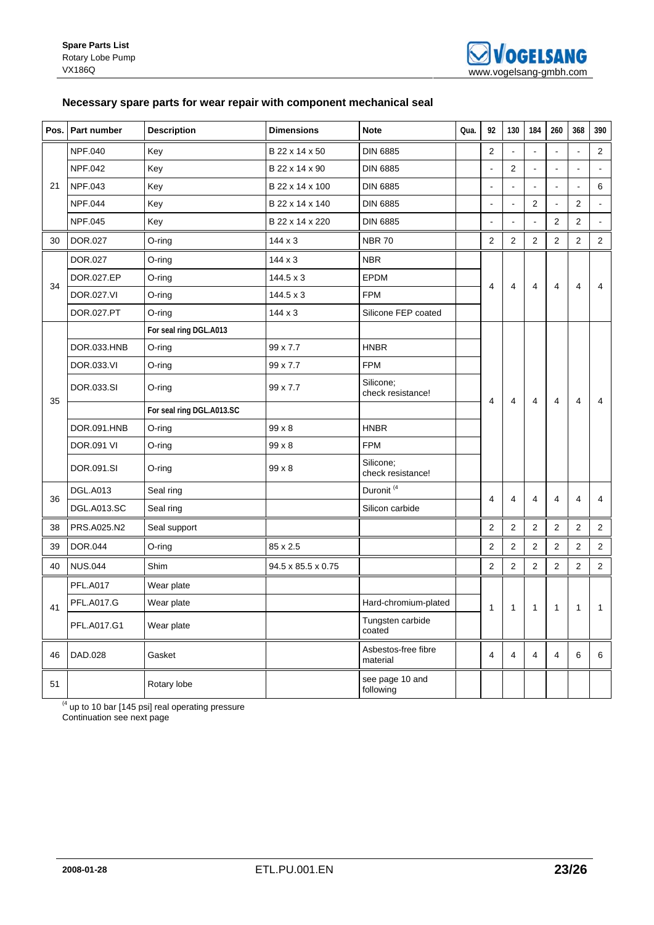## **Necessary spare parts for wear repair with component mechanical seal**

|    | Pos. Part number   | <b>Description</b>        | <b>Dimensions</b>  | <b>Note</b>                     | Qua. | 92             | 130            | 184            | 260            | 368            | 390            |
|----|--------------------|---------------------------|--------------------|---------------------------------|------|----------------|----------------|----------------|----------------|----------------|----------------|
|    | <b>NPF.040</b>     | Key                       | B 22 x 14 x 50     | <b>DIN 6885</b>                 |      | $\overline{c}$ |                |                |                |                | $\overline{2}$ |
| 21 | NPF.042            | Key                       | B 22 x 14 x 90     | <b>DIN 6885</b>                 |      |                | 2              |                |                |                |                |
|    | NPF.043            | Key                       | B 22 x 14 x 100    | <b>DIN 6885</b>                 |      | $\blacksquare$ | $\blacksquare$ |                | $\overline{a}$ | $\overline{a}$ | 6              |
|    | <b>NPF.044</b>     | Key                       | B 22 x 14 x 140    | <b>DIN 6885</b>                 |      |                |                | $\overline{2}$ |                | $\overline{2}$ |                |
|    | NPF.045            | Key                       | B 22 x 14 x 220    | <b>DIN 6885</b>                 |      | $\blacksquare$ | ÷,             | $\overline{a}$ | $\overline{2}$ | $\overline{2}$ | $\blacksquare$ |
| 30 | <b>DOR.027</b>     | $O$ -ring                 | $144 \times 3$     | <b>NBR 70</b>                   |      | $\overline{2}$ | 2              | $\overline{2}$ | $\overline{2}$ | 2              | $\overline{2}$ |
|    | DOR.027            | O-ring                    | $144 \times 3$     | <b>NBR</b>                      |      |                |                |                |                |                |                |
| 34 | DOR.027.EP         | O-ring                    | $144.5 \times 3$   | EPDM                            |      | 4              | 4              | 4              | 4              | 4              | 4              |
|    | DOR.027.VI         | O-ring                    | $144.5 \times 3$   | <b>FPM</b>                      |      |                |                |                |                |                |                |
|    | DOR.027.PT         | $O$ -ring                 | $144 \times 3$     | Silicone FEP coated             |      |                |                |                |                |                |                |
|    |                    | For seal ring DGL.A013    |                    |                                 |      |                |                |                |                |                |                |
|    | DOR.033.HNB        | O-ring                    | 99 x 7.7           | <b>HNBR</b>                     |      |                |                |                |                |                |                |
|    | DOR.033.VI         | O-ring                    | 99 x 7.7           | <b>FPM</b>                      |      |                |                |                |                |                |                |
| 35 | DOR.033.SI         | O-ring                    | 99 x 7.7           | Silicone;<br>check resistance!  |      | 4              | 4              | 4              | 4              | 4              | 4              |
|    |                    | For seal ring DGL.A013.SC |                    |                                 |      |                |                |                |                |                |                |
|    | DOR.091.HNB        | O-ring                    | $99 \times 8$      | <b>HNBR</b>                     |      |                |                |                |                |                |                |
|    | <b>DOR.091 VI</b>  | O-ring                    | 99 x 8             | <b>FPM</b>                      |      |                |                |                |                |                |                |
|    | DOR.091.SI         | O-ring                    | $99 \times 8$      | Silicone:<br>check resistance!  |      |                |                |                |                |                |                |
| 36 | <b>DGL.A013</b>    | Seal ring                 |                    | Duronit <sup>(4</sup>           |      | 4              | 4              | 4              | 4              | 4              | 4              |
|    | <b>DGL.A013.SC</b> | Seal ring                 |                    | Silicon carbide                 |      |                |                |                |                |                |                |
| 38 | PRS.A025.N2        | Seal support              |                    |                                 |      | $\overline{2}$ | $\overline{2}$ | $\overline{2}$ | 2              | 2              | $\overline{2}$ |
| 39 | <b>DOR.044</b>     | O-ring                    | 85 x 2.5           |                                 |      | $\overline{2}$ | 2              | $\overline{2}$ | 2              | 2              | $\overline{2}$ |
| 40 | <b>NUS.044</b>     | Shim                      | 94.5 x 85.5 x 0.75 |                                 |      | $\overline{2}$ | $\overline{2}$ | $\overline{2}$ | $\mathbf{2}$   | 2              | $\overline{2}$ |
|    | <b>PFL.A017</b>    | Wear plate                |                    |                                 |      |                |                |                |                |                |                |
| 41 | <b>PFL.A017.G</b>  | Wear plate                |                    | Hard-chromium-plated            |      | $\mathbf{1}$   | $\mathbf{1}$   | 1              | $\mathbf{1}$   | $\mathbf{1}$   | $\mathbf{1}$   |
|    | PFL.A017.G1        | Wear plate                |                    | Tungsten carbide<br>coated      |      |                |                |                |                |                |                |
| 46 | DAD.028            | Gasket                    |                    | Asbestos-free fibre<br>material |      | 4              | 4              | 4              | $\overline{4}$ | 6              | 6              |
| 51 |                    | Rotary lobe               |                    | see page 10 and<br>following    |      |                |                |                |                |                |                |

 $<sup>(4)</sup>$  up to 10 bar [145 psi] real operating pressure</sup> Continuation see next page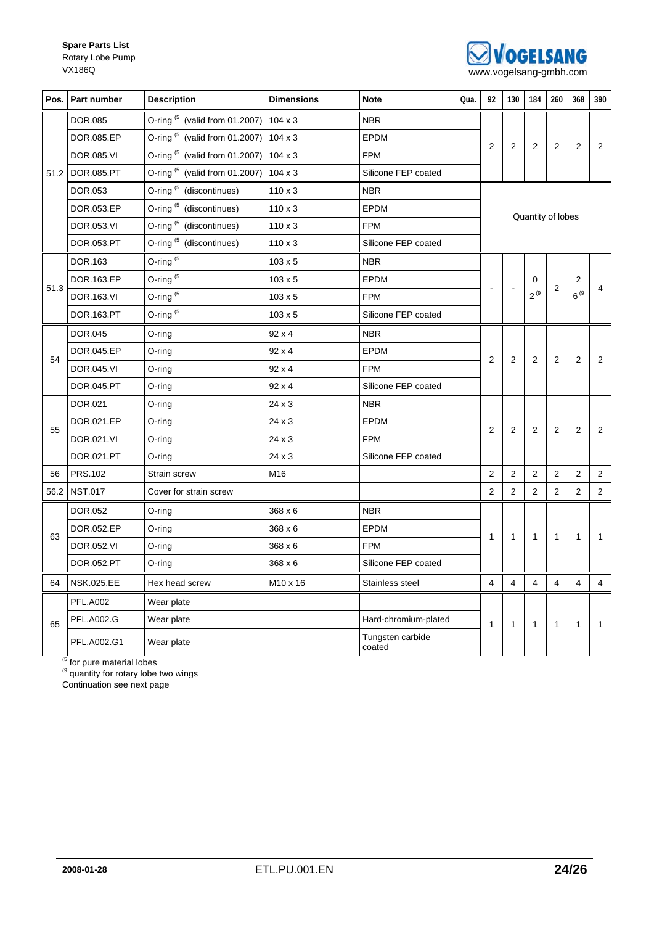

|      | Pos.   Part number | <b>Description</b>                                          | <b>Dimensions</b> | <b>Note</b>                | Qua. | 92             | 130            | 184            | 260            | 368               | 390            |
|------|--------------------|-------------------------------------------------------------|-------------------|----------------------------|------|----------------|----------------|----------------|----------------|-------------------|----------------|
|      | DOR.085            | O-ring $(5 \text{ (valid from 01.2007)} \mid 104 \times 3)$ |                   | <b>NBR</b>                 |      |                |                | 2              | 2              | $\overline{2}$    | 2              |
|      | DOR.085.EP         | O-ring $(5)$ (valid from 01.2007)                           | $104 \times 3$    | <b>EPDM</b>                |      |                |                |                |                |                   |                |
|      | DOR.085.VI         | O-ring $(5)$ (valid from 01.2007)                           | $104 \times 3$    | <b>FPM</b>                 |      | $\overline{2}$ | $\overline{2}$ |                |                |                   |                |
|      | 51.2 DOR.085.PT    | O-ring $(5)$ (valid from 01.2007)                           | $104 \times 3$    | Silicone FEP coated        |      |                |                |                |                |                   |                |
|      | DOR.053            | O-ring <sup>(5</sup> (discontinues)                         | $110 \times 3$    | <b>NBR</b>                 |      |                |                |                |                |                   |                |
|      | DOR.053.EP         | O-ring <sup>(5</sup> (discontinues)                         | $110 \times 3$    | <b>EPDM</b>                |      |                |                |                |                | Quantity of lobes |                |
|      | DOR.053.VI         | O-ring <sup>(5</sup> (discontinues)                         | $110 \times 3$    | <b>FPM</b>                 |      |                |                |                |                |                   |                |
|      | DOR.053.PT         | O-ring <sup>(5</sup> (discontinues)                         | $110 \times 3$    | Silicone FEP coated        |      |                |                |                |                |                   |                |
|      | DOR.163            | O-ring <sup>(5</sup>                                        | 103 x 5           | <b>NBR</b>                 |      |                |                |                |                | 2                 |                |
|      | DOR.163.EP         | O-ring <sup>(5</sup>                                        | $103 \times 5$    | <b>EPDM</b>                |      |                |                | 0              |                |                   | $\overline{4}$ |
| 51.3 | DOR.163.VI         | O-ring <sup>(5</sup>                                        | $103 \times 5$    | <b>FPM</b>                 |      |                |                | $2^{(9)}$      | $\overline{c}$ | $6^{9}$           |                |
|      | DOR.163.PT         | O-ring <sup>(5</sup>                                        | $103 \times 5$    | Silicone FEP coated        |      |                |                |                |                |                   |                |
|      | <b>DOR.045</b>     | $O$ -ring                                                   | 92 x 4            | <b>NBR</b>                 |      |                |                |                |                | 2                 |                |
| 54   | DOR.045.EP         | O-ring                                                      | 92 x 4            | <b>EPDM</b>                |      | 2              |                |                |                |                   |                |
|      | DOR.045.VI         | O-ring                                                      | $92 \times 4$     | <b>FPM</b>                 |      |                | $\overline{2}$ | 2              | 2              |                   | 2              |
|      | DOR.045.PT         | $O$ -ring                                                   | $92 \times 4$     | Silicone FEP coated        |      |                |                |                |                |                   |                |
|      | DOR.021            | O-ring                                                      | 24 x 3            | <b>NBR</b>                 |      |                |                |                |                |                   |                |
| 55   | DOR.021.EP         | $O$ -ring                                                   | 24 x 3            | <b>EPDM</b>                |      | $\overline{2}$ | $\mathbf{2}$   | 2              | 2              | $\overline{2}$    | 2              |
|      | DOR.021.VI         | $O$ -ring                                                   | 24 x 3            | <b>FPM</b>                 |      |                |                |                |                |                   |                |
|      | DOR.021.PT         | $O$ -ring                                                   | 24 x 3            | Silicone FEP coated        |      |                |                |                |                |                   |                |
| 56   | <b>PRS.102</b>     | Strain screw                                                | M16               |                            |      | 2              | $\overline{2}$ | $\overline{2}$ | 2              | 2                 | 2              |
|      | 56.2 NST.017       | Cover for strain screw                                      |                   |                            |      | 2              | $\overline{2}$ | $\overline{2}$ | 2              | 2                 | $\overline{2}$ |
|      | DOR.052            | O-ring                                                      | 368 x 6           | <b>NBR</b>                 |      |                |                |                |                |                   |                |
|      | DOR.052.EP         | O-ring                                                      | 368 x 6           | <b>EPDM</b>                |      |                |                |                | $\mathbf{1}$   |                   |                |
| 63   | DOR.052.VI         | O-ring                                                      | 368 x 6           | <b>FPM</b>                 |      | $\mathbf{1}$   | $\mathbf{1}$   | $\mathbf{1}$   |                | $\mathbf{1}$      | 1              |
|      | DOR.052.PT         | O-ring                                                      | 368 x 6           | Silicone FEP coated        |      |                |                |                |                |                   |                |
| 64   | <b>NSK.025.EE</b>  | Hex head screw                                              | M10 x 16          | Stainless steel            |      | $\overline{4}$ | $\overline{4}$ | $\overline{4}$ | $\overline{4}$ | $\overline{4}$    | $\overline{4}$ |
|      | <b>PFL.A002</b>    | Wear plate                                                  |                   |                            |      |                |                |                | 1              |                   | 1              |
| 65   | <b>PFL.A002.G</b>  | Wear plate                                                  |                   | Hard-chromium-plated       |      | $\mathbf{1}$   | 1              | $\mathbf{1}$   |                | $\mathbf{1}$      |                |
|      | PFL.A002.G1        | Wear plate                                                  |                   | Tungsten carbide<br>coated |      |                |                |                |                |                   |                |

<sup>(5</sup> for pure material lobes

 $<sup>(9)</sup>$  quantity for rotary lobe two wings</sup>

Continuation see next page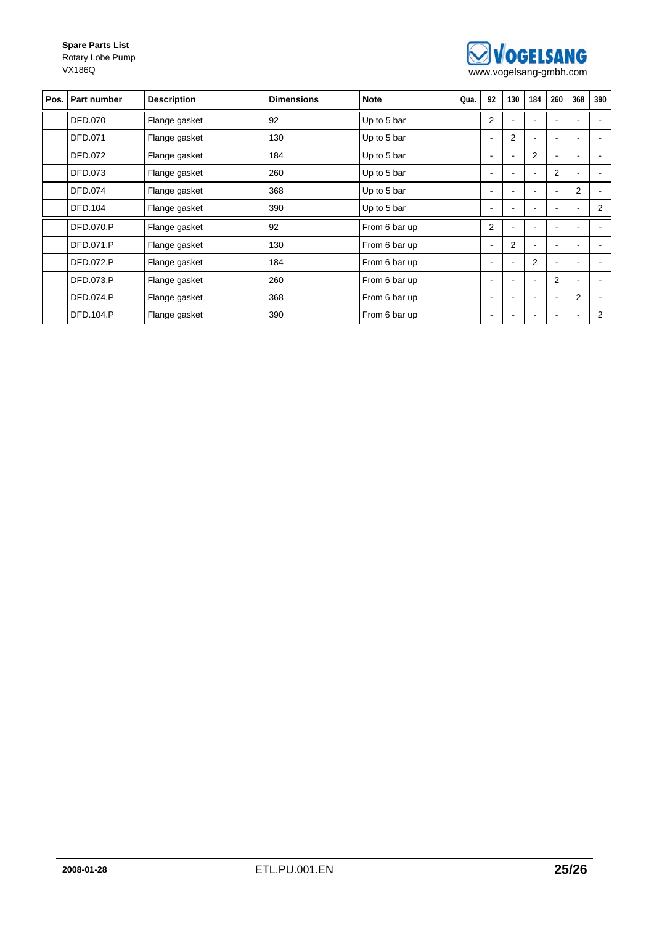

| Pos. Part number | <b>Description</b> | <b>Dimensions</b> | <b>Note</b>   | Qua. | 92                       | 130            | 184            | 260                      | 368            | 390                      |
|------------------|--------------------|-------------------|---------------|------|--------------------------|----------------|----------------|--------------------------|----------------|--------------------------|
| <b>DFD.070</b>   | Flange gasket      | 92                | Up to 5 bar   |      | $\overline{2}$           |                |                |                          |                |                          |
| DFD.071          | Flange gasket      | 130               | Up to 5 bar   |      | $\blacksquare$           | $\overline{2}$ |                | $\overline{\phantom{a}}$ | ٠              |                          |
| <b>DFD.072</b>   | Flange gasket      | 184               | Up to 5 bar   |      | $\overline{\phantom{a}}$ | ٠              | 2              |                          | ٠              |                          |
| <b>DFD.073</b>   | Flange gasket      | 260               | Up to 5 bar   |      | $\overline{\phantom{a}}$ |                |                | 2                        | ٠              |                          |
| DFD.074          | Flange gasket      | 368               | Up to 5 bar   |      | $\overline{\phantom{a}}$ |                |                |                          | $\overline{2}$ | $\blacksquare$           |
| <b>DFD.104</b>   | Flange gasket      | 390               | Up to 5 bar   |      |                          |                |                |                          |                | 2                        |
| <b>DFD.070.P</b> | Flange gasket      | 92                | From 6 bar up |      | $\overline{2}$           |                |                |                          |                |                          |
| <b>DFD.071.P</b> | Flange gasket      | 130               | From 6 bar up |      | $\overline{\phantom{a}}$ | $\overline{2}$ |                |                          |                |                          |
| <b>DFD.072.P</b> | Flange gasket      | 184               | From 6 bar up |      |                          |                | 2              |                          |                |                          |
| DFD.073.P        | Flange gasket      | 260               | From 6 bar up |      | $\overline{\phantom{a}}$ |                | $\blacksquare$ | 2                        |                | $\sim$                   |
| <b>DFD.074.P</b> | Flange gasket      | 368               | From 6 bar up |      |                          |                |                |                          | $\overline{2}$ | $\overline{\phantom{a}}$ |
| <b>DFD.104.P</b> | Flange gasket      | 390               | From 6 bar up |      | $\overline{\phantom{a}}$ |                |                | $\overline{\phantom{a}}$ | $\blacksquare$ | 2                        |